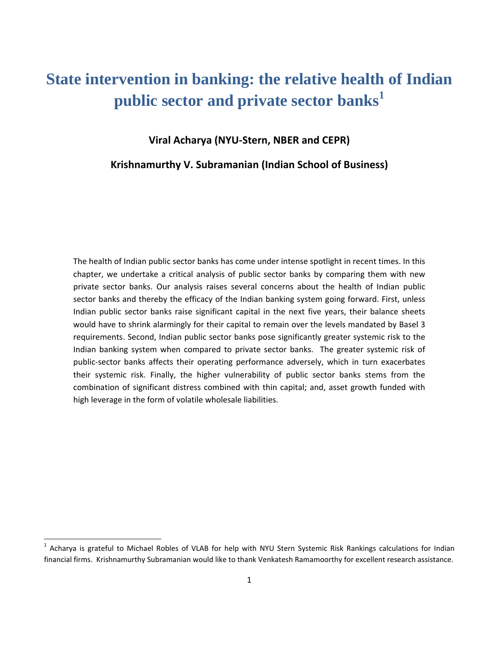# **State intervention in banking: the relative health of Indian public sector and private sector banks<sup>1</sup>**

# **Viral Acharya (NYU-Stern, NBER and CEPR)**

### **Krishnamurthy V. Subramanian (Indian School of Business)**

The health of Indian public sector banks has come under intense spotlight in recent times. In this chapter, we undertake a critical analysis of public sector banks by comparing them with new private sector banks. Our analysis raises several concerns about the health of Indian public sector banks and thereby the efficacy of the Indian banking system going forward. First, unless Indian public sector banks raise significant capital in the next five years, their balance sheets would have to shrink alarmingly for their capital to remain over the levels mandated by Basel 3 requirements. Second, Indian public sector banks pose significantly greater systemic risk to the Indian banking system when compared to private sector banks. The greater systemic risk of public-sector banks affects their operating performance adversely, which in turn exacerbates their systemic risk. Finally, the higher vulnerability of public sector banks stems from the combination of significant distress combined with thin capital; and, asset growth funded with high leverage in the form of volatile wholesale liabilities.

 $\overline{a}$ 

 $^1$  Acharya is grateful to Michael Robles of VLAB for help with NYU Stern Systemic Risk Rankings calculations for Indian financial firms. Krishnamurthy Subramanian would like to thank Venkatesh Ramamoorthy for excellent research assistance.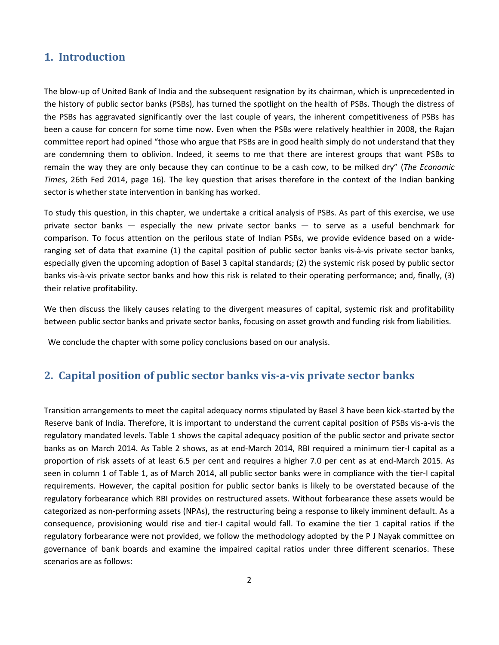# **1. Introduction**

The blow-up of United Bank of India and the subsequent resignation by its chairman, which is unprecedented in the history of public sector banks (PSBs), has turned the spotlight on the health of PSBs. Though the distress of the PSBs has aggravated significantly over the last couple of years, the inherent competitiveness of PSBs has been a cause for concern for some time now. Even when the PSBs were relatively healthier in 2008, the Rajan committee report had opined "those who argue that PSBs are in good health simply do not understand that they are condemning them to oblivion. Indeed, it seems to me that there are interest groups that want PSBs to remain the way they are only because they can continue to be a cash cow, to be milked dry" (*The Economic Times*, 26th Fed 2014, page 16). The key question that arises therefore in the context of the Indian banking sector is whether state intervention in banking has worked.

To study this question, in this chapter, we undertake a critical analysis of PSBs. As part of this exercise, we use private sector banks — especially the new private sector banks — to serve as a useful benchmark for comparison. To focus attention on the perilous state of Indian PSBs, we provide evidence based on a wideranging set of data that examine (1) the capital position of public sector banks vis-à-vis private sector banks, especially given the upcoming adoption of Basel 3 capital standards; (2) the systemic risk posed by public sector banks vis-à-vis private sector banks and how this risk is related to their operating performance; and, finally, (3) their relative profitability.

We then discuss the likely causes relating to the divergent measures of capital, systemic risk and profitability between public sector banks and private sector banks, focusing on asset growth and funding risk from liabilities.

We conclude the chapter with some policy conclusions based on our analysis.

# **2. Capital position of public sector banks vis-a-vis private sector banks**

Transition arrangements to meet the capital adequacy norms stipulated by Basel 3 have been kick-started by the Reserve bank of India. Therefore, it is important to understand the current capital position of PSBs vis-a-vis the regulatory mandated levels. Table 1 shows the capital adequacy position of the public sector and private sector banks as on March 2014. As Table 2 shows, as at end-March 2014, RBI required a minimum tier-I capital as a proportion of risk assets of at least 6.5 per cent and requires a higher 7.0 per cent as at end-March 2015. As seen in column 1 of Table 1, as of March 2014, all public sector banks were in compliance with the tier-I capital requirements. However, the capital position for public sector banks is likely to be overstated because of the regulatory forbearance which RBI provides on restructured assets. Without forbearance these assets would be categorized as non-performing assets (NPAs), the restructuring being a response to likely imminent default. As a consequence, provisioning would rise and tier-I capital would fall. To examine the tier 1 capital ratios if the regulatory forbearance were not provided, we follow the methodology adopted by the P J Nayak committee on governance of bank boards and examine the impaired capital ratios under three different scenarios. These scenarios are as follows: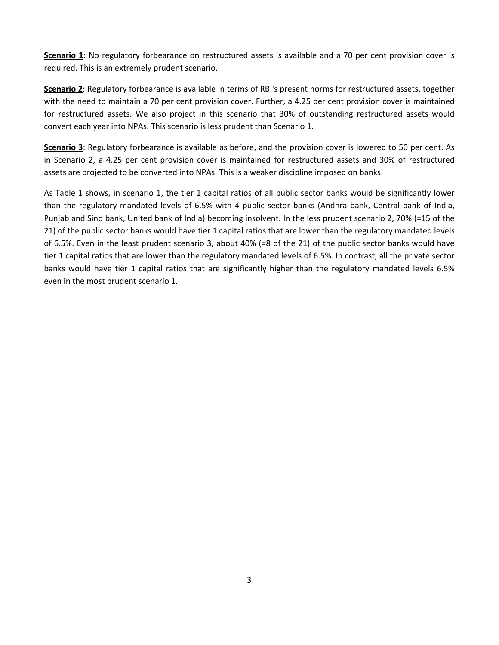**Scenario 1**: No regulatory forbearance on restructured assets is available and a 70 per cent provision cover is required. This is an extremely prudent scenario.

**Scenario 2**: Regulatory forbearance is available in terms of RBI's present norms for restructured assets, together with the need to maintain a 70 per cent provision cover. Further, a 4.25 per cent provision cover is maintained for restructured assets. We also project in this scenario that 30% of outstanding restructured assets would convert each year into NPAs. This scenario is less prudent than Scenario 1.

**Scenario 3**: Regulatory forbearance is available as before, and the provision cover is lowered to 50 per cent. As in Scenario 2, a 4.25 per cent provision cover is maintained for restructured assets and 30% of restructured assets are projected to be converted into NPAs. This is a weaker discipline imposed on banks.

As Table 1 shows, in scenario 1, the tier 1 capital ratios of all public sector banks would be significantly lower than the regulatory mandated levels of 6.5% with 4 public sector banks (Andhra bank, Central bank of India, Punjab and Sind bank, United bank of India) becoming insolvent. In the less prudent scenario 2, 70% (=15 of the 21) of the public sector banks would have tier 1 capital ratios that are lower than the regulatory mandated levels of 6.5%. Even in the least prudent scenario 3, about 40% (=8 of the 21) of the public sector banks would have tier 1 capital ratios that are lower than the regulatory mandated levels of 6.5%. In contrast, all the private sector banks would have tier 1 capital ratios that are significantly higher than the regulatory mandated levels 6.5% even in the most prudent scenario 1.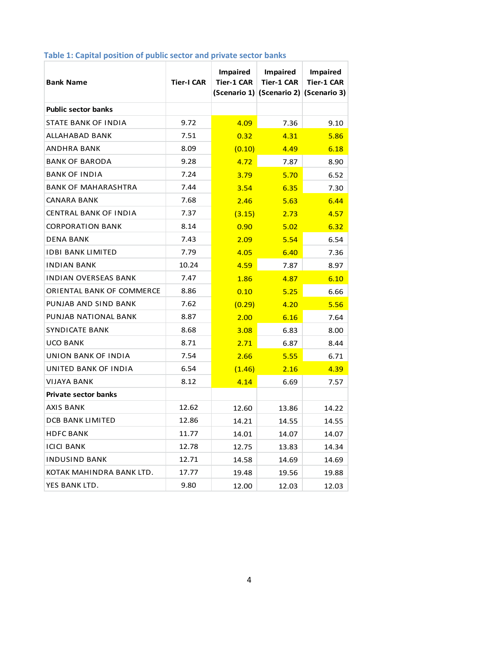| <b>Bank Name</b>             | <b>Tier-I CAR</b> | <b>Impaired</b><br><b>Impaired</b><br><b>Tier-1 CAR</b><br>Tier-1 CAR<br>(Scenario 1) (Scenario 2) (Scenario 3) |       | <b>Impaired</b><br><b>Tier-1 CAR</b> |  |
|------------------------------|-------------------|-----------------------------------------------------------------------------------------------------------------|-------|--------------------------------------|--|
| <b>Public sector banks</b>   |                   |                                                                                                                 |       |                                      |  |
| <b>STATE BANK OF INDIA</b>   | 9.72              | 4.09                                                                                                            | 7.36  | 9.10                                 |  |
| ALLAHABAD BANK               | 7.51              | 0.32                                                                                                            | 4.31  | 5.86                                 |  |
| ANDHRA BANK                  | 8.09              | (0.10)                                                                                                          | 4.49  | 6.18                                 |  |
| <b>BANK OF BARODA</b>        | 9.28              | 4.72                                                                                                            | 7.87  | 8.90                                 |  |
| <b>BANK OF INDIA</b>         | 7.24              | 3.79                                                                                                            | 5.70  | 6.52                                 |  |
| <b>BANK OF MAHARASHTRA</b>   | 7.44              | 3.54                                                                                                            | 6.35  | 7.30                                 |  |
| CANARA BANK                  | 7.68              | 2.46                                                                                                            | 5.63  | 6.44                                 |  |
| <b>CENTRAL BANK OF INDIA</b> | 7.37              | (3.15)                                                                                                          | 2.73  | 4.57                                 |  |
| <b>CORPORATION BANK</b>      | 8.14              | 0.90                                                                                                            | 5.02  | 6.32                                 |  |
| <b>DENA BANK</b>             | 7.43              | 2.09                                                                                                            | 5.54  | 6.54                                 |  |
| <b>IDBI BANK LIMITED</b>     | 7.79              | 4.05                                                                                                            | 6.40  | 7.36                                 |  |
| <b>INDIAN BANK</b>           | 10.24             | 4.59                                                                                                            | 7.87  | 8.97                                 |  |
| <b>INDIAN OVERSEAS BANK</b>  | 7.47              | 1.86                                                                                                            | 4.87  | 6.10                                 |  |
| ORIENTAL BANK OF COMMERCE    | 8.86              | 0.10                                                                                                            | 5.25  | 6.66                                 |  |
| PUNJAB AND SIND BANK         | 7.62              | (0.29)                                                                                                          | 4.20  | 5.56                                 |  |
| PUNJAB NATIONAL BANK         | 8.87              | 2.00                                                                                                            | 6.16  | 7.64                                 |  |
| <b>SYNDICATE BANK</b>        | 8.68              | 3.08                                                                                                            | 6.83  | 8.00                                 |  |
| <b>UCO BANK</b>              | 8.71              | 2.71                                                                                                            | 6.87  | 8.44                                 |  |
| UNION BANK OF INDIA          | 7.54              | 2.66                                                                                                            | 5.55  | 6.71                                 |  |
| UNITED BANK OF INDIA         | 6.54              | (1.46)                                                                                                          | 2.16  | 4.39                                 |  |
| VIJAYA BANK                  | 8.12              | 4.14                                                                                                            | 6.69  | 7.57                                 |  |
| <b>Private sector banks</b>  |                   |                                                                                                                 |       |                                      |  |
| <b>AXIS BANK</b>             | 12.62             | 12.60                                                                                                           | 13.86 | 14.22                                |  |
| <b>DCB BANK LIMITED</b>      | 12.86             | 14.21                                                                                                           | 14.55 | 14.55                                |  |
| <b>HDFC BANK</b>             | 11.77             | 14.01                                                                                                           | 14.07 | 14.07                                |  |
| <b>ICICI BANK</b>            | 12.78             | 12.75                                                                                                           | 13.83 | 14.34                                |  |
| <b>INDUSIND BANK</b>         | 12.71             | 14.58                                                                                                           | 14.69 | 14.69                                |  |
| KOTAK MAHINDRA BANK LTD.     | 17.77             | 19.48                                                                                                           | 19.56 | 19.88                                |  |
| YES BANK LTD.                | 9.80              | 12.00                                                                                                           | 12.03 | 12.03                                |  |

# **Table 1: Capital position of public sector and private sector banks**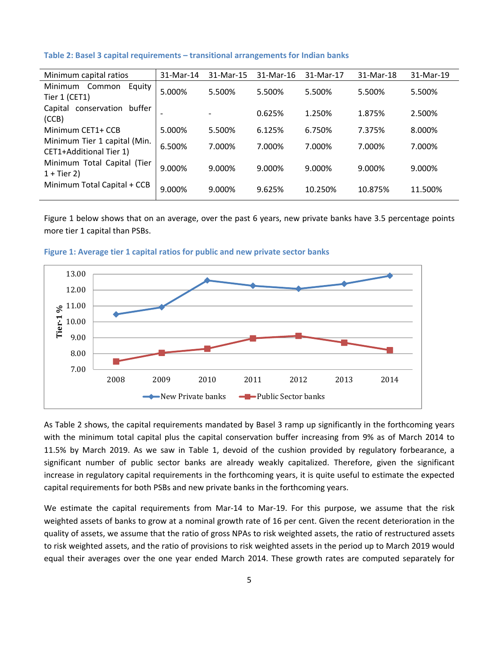| Minimum capital ratios                                  | 31-Mar-14 | 31-Mar-15 | 31-Mar-16 | 31-Mar-17 | 31-Mar-18 | 31-Mar-19 |
|---------------------------------------------------------|-----------|-----------|-----------|-----------|-----------|-----------|
| Common<br>Minimum<br>Equity<br>Tier 1 (CET1)            | 5.000%    | 5.500%    | 5.500%    | 5.500%    | 5.500%    | 5.500%    |
| Capital<br>buffer<br>conservation<br>(CCB)              |           |           | 0.625%    | 1.250%    | 1.875%    | 2.500%    |
| Minimum CET1+ CCB                                       | 5.000%    | 5.500%    | 6.125%    | 6.750%    | 7.375%    | 8.000%    |
| Minimum Tier 1 capital (Min.<br>CET1+Additional Tier 1) | 6.500%    | 7.000%    | 7.000%    | 7.000%    | 7.000%    | 7.000%    |
| Minimum Total Capital (Tier<br>$1 +$ Tier 2)            | 9.000%    | 9.000%    | 9.000%    | 9.000%    | 9.000%    | 9.000%    |
| Minimum Total Capital + CCB                             | 9.000%    | 9.000%    | 9.625%    | 10.250%   | 10.875%   | 11.500%   |

#### **Table 2: Basel 3 capital requirements – transitional arrangements for Indian banks**

Figure 1 below shows that on an average, over the past 6 years, new private banks have 3.5 percentage points more tier 1 capital than PSBs.





As Table 2 shows, the capital requirements mandated by Basel 3 ramp up significantly in the forthcoming years with the minimum total capital plus the capital conservation buffer increasing from 9% as of March 2014 to 11.5% by March 2019. As we saw in Table 1, devoid of the cushion provided by regulatory forbearance, a significant number of public sector banks are already weakly capitalized. Therefore, given the significant increase in regulatory capital requirements in the forthcoming years, it is quite useful to estimate the expected capital requirements for both PSBs and new private banks in the forthcoming years.

We estimate the capital requirements from Mar-14 to Mar-19. For this purpose, we assume that the risk weighted assets of banks to grow at a nominal growth rate of 16 per cent. Given the recent deterioration in the quality of assets, we assume that the ratio of gross NPAs to risk weighted assets, the ratio of restructured assets to risk weighted assets, and the ratio of provisions to risk weighted assets in the period up to March 2019 would equal their averages over the one year ended March 2014. These growth rates are computed separately for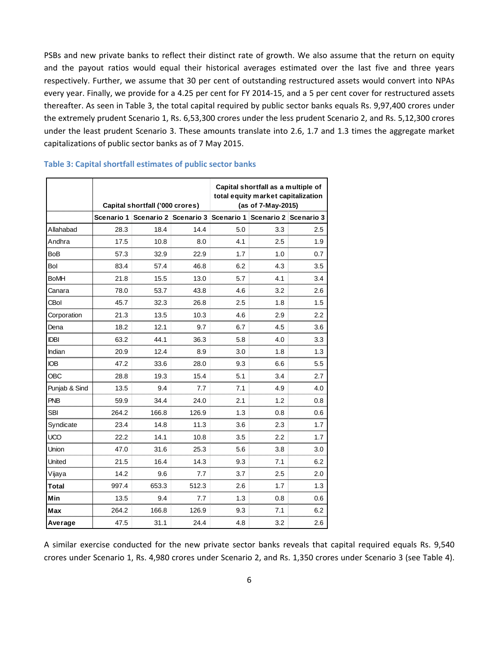PSBs and new private banks to reflect their distinct rate of growth. We also assume that the return on equity and the payout ratios would equal their historical averages estimated over the last five and three years respectively. Further, we assume that 30 per cent of outstanding restructured assets would convert into NPAs every year. Finally, we provide for a 4.25 per cent for FY 2014-15, and a 5 per cent cover for restructured assets thereafter. As seen in Table 3, the total capital required by public sector banks equals Rs. 9,97,400 crores under the extremely prudent Scenario 1, Rs. 6,53,300 crores under the less prudent Scenario 2, and Rs. 5,12,300 crores under the least prudent Scenario 3. These amounts translate into 2.6, 1.7 and 1.3 times the aggregate market capitalizations of public sector banks as of 7 May 2015.

|               |       |                                 |                                                                   | Capital shortfall as a multiple of<br>total equity market capitalization<br>(as of 7-May-2015) |     |     |  |
|---------------|-------|---------------------------------|-------------------------------------------------------------------|------------------------------------------------------------------------------------------------|-----|-----|--|
|               |       | Capital shortfall ('000 crores) |                                                                   |                                                                                                |     |     |  |
|               |       |                                 | Scenario 1 Scenario 2 Scenario 3 Scenario 1 Scenario 2 Scenario 3 |                                                                                                |     |     |  |
| Allahabad     | 28.3  | 18.4                            | 14.4                                                              | 5.0                                                                                            | 3.3 | 2.5 |  |
| Andhra        | 17.5  | 10.8                            | 8.0                                                               | 4.1                                                                                            | 2.5 | 1.9 |  |
| <b>BoB</b>    | 57.3  | 32.9                            | 22.9                                                              | 1.7                                                                                            | 1.0 | 0.7 |  |
| Bol           | 83.4  | 57.4                            | 46.8                                                              | 6.2                                                                                            | 4.3 | 3.5 |  |
| <b>BoMH</b>   | 21.8  | 15.5                            | 13.0                                                              | 5.7                                                                                            | 4.1 | 3.4 |  |
| Canara        | 78.0  | 53.7                            | 43.8                                                              | 4.6                                                                                            | 3.2 | 2.6 |  |
| CBol          | 45.7  | 32.3                            | 26.8                                                              | 2.5                                                                                            | 1.8 | 1.5 |  |
| Corporation   | 21.3  | 13.5                            | 10.3                                                              | 4.6                                                                                            | 2.9 | 2.2 |  |
| Dena          | 18.2  | 12.1                            | 9.7                                                               | 6.7                                                                                            | 4.5 | 3.6 |  |
| <b>IDBI</b>   | 63.2  | 44.1                            | 36.3                                                              | 5.8                                                                                            | 4.0 | 3.3 |  |
| Indian        | 20.9  | 12.4                            | 8.9                                                               | 3.0                                                                                            | 1.8 | 1.3 |  |
| <b>IOB</b>    | 47.2  | 33.6                            | 28.0                                                              | 9.3                                                                                            | 6.6 | 5.5 |  |
| OBC           | 28.8  | 19.3                            | 15.4                                                              | 5.1                                                                                            | 3.4 | 2.7 |  |
| Punjab & Sind | 13.5  | 9.4                             | 7.7                                                               | 7.1                                                                                            | 4.9 | 4.0 |  |
| <b>PNB</b>    | 59.9  | 34.4                            | 24.0                                                              | 2.1                                                                                            | 1.2 | 0.8 |  |
| <b>SBI</b>    | 264.2 | 166.8                           | 126.9                                                             | 1.3                                                                                            | 0.8 | 0.6 |  |
| Syndicate     | 23.4  | 14.8                            | 11.3                                                              | 3.6                                                                                            | 2.3 | 1.7 |  |
| <b>UCO</b>    | 22.2  | 14.1                            | 10.8                                                              | 3.5                                                                                            | 2.2 | 1.7 |  |
| Union         | 47.0  | 31.6                            | 25.3                                                              | 5.6                                                                                            | 3.8 | 3.0 |  |
| United        | 21.5  | 16.4                            | 14.3                                                              | 9.3                                                                                            | 7.1 | 6.2 |  |
| Vijaya        | 14.2  | 9.6                             | 7.7                                                               | 3.7                                                                                            | 2.5 | 2.0 |  |
| Total         | 997.4 | 653.3                           | 512.3                                                             | 2.6                                                                                            | 1.7 | 1.3 |  |
| Min           | 13.5  | 9.4                             | 7.7                                                               | 1.3                                                                                            | 0.8 | 0.6 |  |
| Max           | 264.2 | 166.8                           | 126.9                                                             | 9.3                                                                                            | 7.1 | 6.2 |  |
| Average       | 47.5  | 31.1                            | 24.4                                                              | 4.8                                                                                            | 3.2 | 2.6 |  |

#### **Table 3: Capital shortfall estimates of public sector banks**

A similar exercise conducted for the new private sector banks reveals that capital required equals Rs. 9,540 crores under Scenario 1, Rs. 4,980 crores under Scenario 2, and Rs. 1,350 crores under Scenario 3 (see Table 4).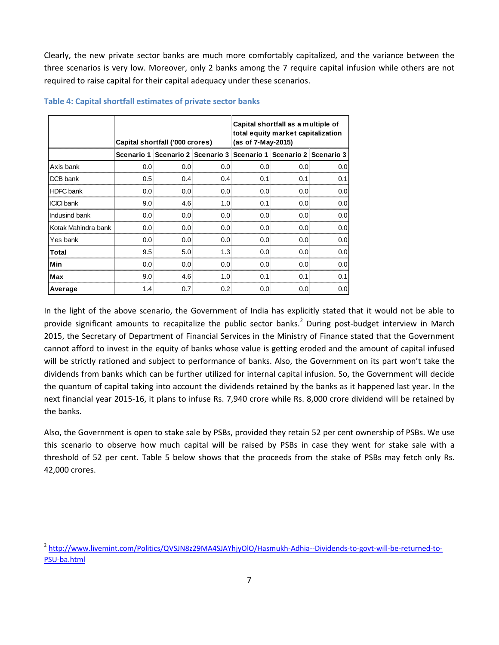Clearly, the new private sector banks are much more comfortably capitalized, and the variance between the three scenarios is very low. Moreover, only 2 banks among the 7 require capital infusion while others are not required to raise capital for their capital adequacy under these scenarios.

|                     |            | Capital shortfall ('000 crores) |                                                        | (as of 7-May-2015) |     | Capital shortfall as a multiple of<br>total equity market capitalization |  |  |  |
|---------------------|------------|---------------------------------|--------------------------------------------------------|--------------------|-----|--------------------------------------------------------------------------|--|--|--|
|                     | Scenario 1 |                                 | Scenario 2 Scenario 3 Scenario 1 Scenario 2 Scenario 3 |                    |     |                                                                          |  |  |  |
| Axis bank           | 0.0        | 0.0                             | 0.0                                                    | 0.0                | 0.0 | 0.0                                                                      |  |  |  |
| DCB bank            | 0.5        | 0.4                             | 0.4                                                    | 0.1                | 0.1 | 0.1                                                                      |  |  |  |
| <b>HDFC</b> bank    | 0.0        | 0.0                             | 0.0                                                    | 0.0                | 0.0 | 0.0                                                                      |  |  |  |
| <b>ICICI</b> bank   | 9.0        | 4.6                             | 1.0                                                    | 0.1                | 0.0 | 0.0                                                                      |  |  |  |
| Indusind bank       | 0.0        | 0.0                             | 0.0                                                    | 0.0                | 0.0 | 0.0                                                                      |  |  |  |
| Kotak Mahindra bank | 0.0        | 0.0                             | 0.0                                                    | 0.0                | 0.0 | 0.0                                                                      |  |  |  |
| Yes bank            | 0.0        | 0.0                             | 0.0                                                    | 0.0                | 0.0 | 0.0                                                                      |  |  |  |
| Total               | 9.5        | 5.0                             | 1.3                                                    | 0.0                | 0.0 | 0.0                                                                      |  |  |  |
| Min                 | 0.0        | 0.0                             | 0.0                                                    | 0.0                | 0.0 | 0.0                                                                      |  |  |  |
| Max                 | 9.0        | 4.6                             | 1.0                                                    | 0.1                | 0.1 | 0.1                                                                      |  |  |  |
| Average             | 1.4        | 0.7                             | 0.2                                                    | 0.0                | 0.0 | 0.0                                                                      |  |  |  |

#### **Table 4: Capital shortfall estimates of private sector banks**

In the light of the above scenario, the Government of India has explicitly stated that it would not be able to provide significant amounts to recapitalize the public sector banks.<sup>2</sup> During post-budget interview in March 2015, the Secretary of Department of Financial Services in the Ministry of Finance stated that the Government cannot afford to invest in the equity of banks whose value is getting eroded and the amount of capital infused will be strictly rationed and subject to performance of banks. Also, the Government on its part won't take the dividends from banks which can be further utilized for internal capital infusion. So, the Government will decide the quantum of capital taking into account the dividends retained by the banks as it happened last year. In the next financial year 2015-16, it plans to infuse Rs. 7,940 crore while Rs. 8,000 crore dividend will be retained by the banks.

Also, the Government is open to stake sale by PSBs, provided they retain 52 per cent ownership of PSBs. We use this scenario to observe how much capital will be raised by PSBs in case they went for stake sale with a threshold of 52 per cent. Table 5 below shows that the proceeds from the stake of PSBs may fetch only Rs. 42,000 crores.

<sup>1</sup> <sup>2</sup> http://www.livemint.com/Politics/QVSJN8z29MA4SJAYhjyOlO/Hasmukh-Adhia--Dividends-to-govt-will-be-returned-to-PSU-ba.html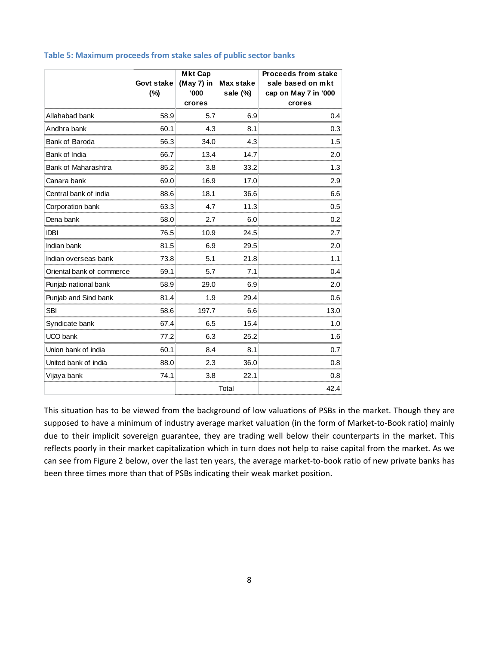|                           |            | <b>Mkt Cap</b> |                  | <b>Proceeds from stake</b> |
|---------------------------|------------|----------------|------------------|----------------------------|
|                           | Govt stake | $(May 7)$ in   | <b>Max stake</b> | sale based on mkt          |
|                           | (%)        | '000           | sale $(\%)$      | cap on May 7 in '000       |
|                           |            | crores         |                  | crores                     |
| Allahabad bank            | 58.9       | 5.7            | 6.9              | 0.4                        |
| Andhra bank               | 60.1       | 4.3            | 8.1              | 0.3                        |
| Bank of Baroda            | 56.3       | 34.0           | 4.3              | 1.5                        |
| Bank of India             | 66.7       | 13.4           | 14.7             | 2.0                        |
| Bank of Maharashtra       | 85.2       | 3.8            | 33.2             | 1.3                        |
| Canara bank               | 69.0       | 16.9           | 17.0             | 2.9                        |
| Central bank of india     | 88.6       | 18.1           | 36.6             | 6.6                        |
| Corporation bank          | 63.3       | 4.7            | 11.3             | 0.5                        |
| Dena bank                 | 58.0       | 2.7            | 6.0              | 0.2                        |
| <b>IDBI</b>               | 76.5       | 10.9           | 24.5             | 2.7                        |
| Indian bank               | 81.5       | 6.9            | 29.5             | 2.0                        |
| Indian overseas bank      | 73.8       | 5.1            | 21.8             | 1.1                        |
| Oriental bank of commerce | 59.1       | 5.7            | 7.1              | 0.4                        |
| Punjab national bank      | 58.9       | 29.0           | 6.9              | 2.0                        |
| Punjab and Sind bank      | 81.4       | 1.9            | 29.4             | 0.6                        |
| <b>SBI</b>                | 58.6       | 197.7          | 6.6              | 13.0                       |
| Syndicate bank            | 67.4       | 6.5            | 15.4             | 1.0                        |
| UCO bank                  | 77.2       | 6.3            | 25.2             | 1.6                        |
| Union bank of india       | 60.1       | 8.4            | 8.1              | 0.7                        |
| United bank of india      | 88.0       | 2.3            | 36.0             | 0.8                        |
| Vijaya bank               | 74.1       | 3.8            | 22.1             | 0.8                        |
|                           |            |                | Total            | 42.4                       |

#### **Table 5: Maximum proceeds from stake sales of public sector banks**

This situation has to be viewed from the background of low valuations of PSBs in the market. Though they are supposed to have a minimum of industry average market valuation (in the form of Market-to-Book ratio) mainly due to their implicit sovereign guarantee, they are trading well below their counterparts in the market. This reflects poorly in their market capitalization which in turn does not help to raise capital from the market. As we can see from Figure 2 below, over the last ten years, the average market-to-book ratio of new private banks has been three times more than that of PSBs indicating their weak market position.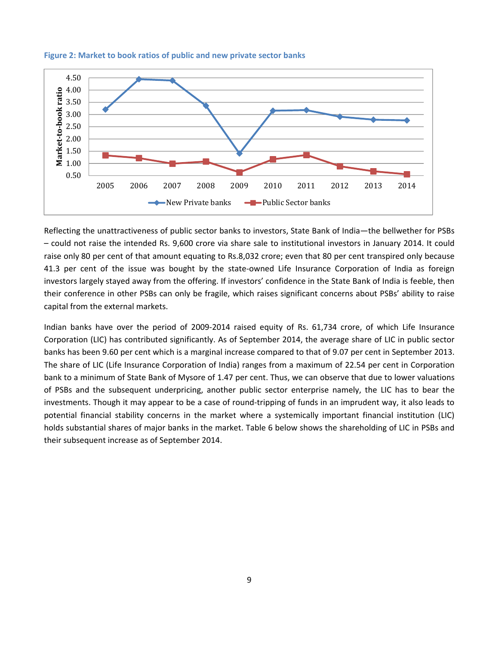

#### **Figure 2: Market to book ratios of public and new private sector banks**

Reflecting the unattractiveness of public sector banks to investors, State Bank of India—the bellwether for PSBs – could not raise the intended Rs. 9,600 crore via share sale to institutional investors in January 2014. It could raise only 80 per cent of that amount equating to Rs.8,032 crore; even that 80 per cent transpired only because 41.3 per cent of the issue was bought by the state-owned Life Insurance Corporation of India as foreign investors largely stayed away from the offering. If investors' confidence in the State Bank of India is feeble, then their conference in other PSBs can only be fragile, which raises significant concerns about PSBs' ability to raise capital from the external markets.

Indian banks have over the period of 2009-2014 raised equity of Rs. 61,734 crore, of which Life Insurance Corporation (LIC) has contributed significantly. As of September 2014, the average share of LIC in public sector banks has been 9.60 per cent which is a marginal increase compared to that of 9.07 per cent in September 2013. The share of LIC (Life Insurance Corporation of India) ranges from a maximum of 22.54 per cent in Corporation bank to a minimum of State Bank of Mysore of 1.47 per cent. Thus, we can observe that due to lower valuations of PSBs and the subsequent underpricing, another public sector enterprise namely, the LIC has to bear the investments. Though it may appear to be a case of round-tripping of funds in an imprudent way, it also leads to potential financial stability concerns in the market where a systemically important financial institution (LIC) holds substantial shares of major banks in the market. Table 6 below shows the shareholding of LIC in PSBs and their subsequent increase as of September 2014.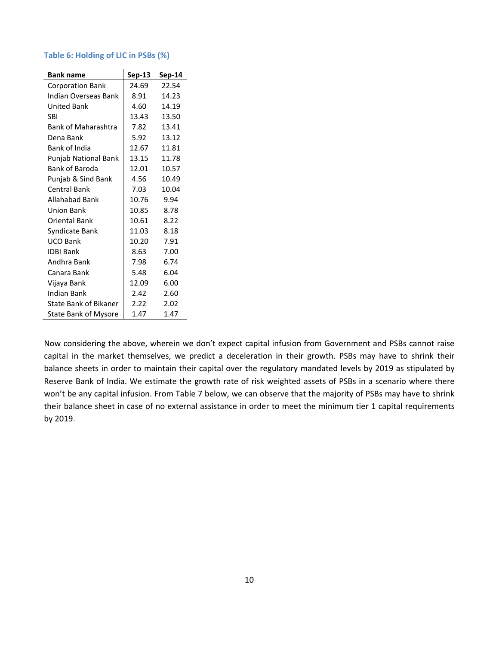|  | Table 6: Holding of LIC in PSBs (%) |  |  |  |
|--|-------------------------------------|--|--|--|
|  |                                     |  |  |  |

| <b>Bank name</b>            | Sep-13 | Sep-14 |
|-----------------------------|--------|--------|
| <b>Corporation Bank</b>     | 24.69  | 22.54  |
| Indian Overseas Bank        | 8.91   | 14.23  |
| <b>United Bank</b>          | 4.60   | 14.19  |
| SBI                         | 13.43  | 13.50  |
| <b>Bank of Maharashtra</b>  | 7.82   | 13.41  |
| Dena Bank                   | 5.92   | 13.12  |
| Bank of India               | 12.67  | 11.81  |
| Punjab National Bank        | 13.15  | 11.78  |
| Bank of Baroda              | 12.01  | 10.57  |
| Punjab & Sind Bank          | 4.56   | 10.49  |
| <b>Central Bank</b>         | 7.03   | 10.04  |
| Allahabad Bank              | 10.76  | 9.94   |
| <b>Union Bank</b>           | 10.85  | 8.78   |
| <b>Oriental Bank</b>        | 10.61  | 8.22   |
| Syndicate Bank              | 11.03  | 8.18   |
| UCO Bank                    | 10.20  | 7.91   |
| <b>IDBI Bank</b>            | 8.63   | 7.00   |
| Andhra Bank                 | 7.98   | 6.74   |
| Canara Bank                 | 5.48   | 6.04   |
| Vijaya Bank                 | 12.09  | 6.00   |
| Indian Bank                 | 2.42   | 2.60   |
| State Bank of Bikaner       | 2.22   | 2.02   |
| <b>State Bank of Mysore</b> | 1.47   | 1.47   |

Now considering the above, wherein we don't expect capital infusion from Government and PSBs cannot raise capital in the market themselves, we predict a deceleration in their growth. PSBs may have to shrink their balance sheets in order to maintain their capital over the regulatory mandated levels by 2019 as stipulated by Reserve Bank of India. We estimate the growth rate of risk weighted assets of PSBs in a scenario where there won't be any capital infusion. From Table 7 below, we can observe that the majority of PSBs may have to shrink their balance sheet in case of no external assistance in order to meet the minimum tier 1 capital requirements by 2019.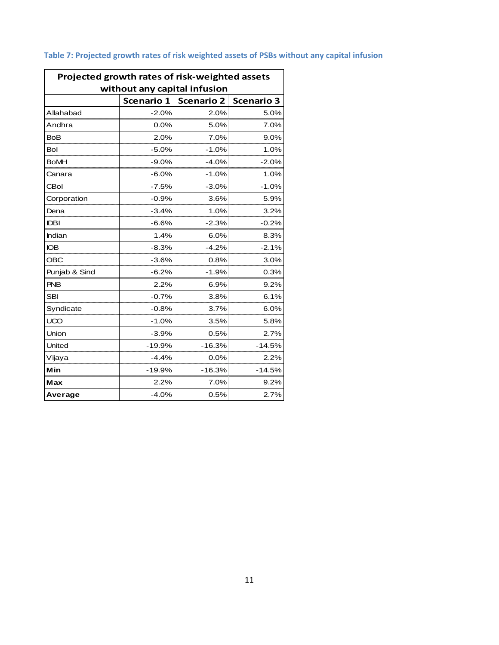| Projected growth rates of risk-weighted assets |                              |                   |            |  |  |  |  |
|------------------------------------------------|------------------------------|-------------------|------------|--|--|--|--|
|                                                | without any capital infusion |                   |            |  |  |  |  |
|                                                | Scenario 1                   | <b>Scenario 2</b> | Scenario 3 |  |  |  |  |
| Allahabad                                      | $-2.0%$                      | 2.0%              | 5.0%       |  |  |  |  |
| Andhra                                         | 0.0%                         | 5.0%              | 7.0%       |  |  |  |  |
| <b>BoB</b>                                     | 2.0%                         | 7.0%              | 9.0%       |  |  |  |  |
| Bol                                            | $-5.0%$                      | $-1.0%$           | 1.0%       |  |  |  |  |
| <b>BoMH</b>                                    | $-9.0%$                      | $-4.0%$           | $-2.0%$    |  |  |  |  |
| Canara                                         | $-6.0%$                      | $-1.0%$           | 1.0%       |  |  |  |  |
| CBol                                           | $-7.5%$                      | $-3.0%$           | $-1.0%$    |  |  |  |  |
| Corporation                                    | $-0.9%$                      | 3.6%              | 5.9%       |  |  |  |  |
| Dena                                           | $-3.4%$                      | 1.0%              | 3.2%       |  |  |  |  |
| <b>IDBI</b>                                    | $-6.6%$                      | $-2.3%$           | $-0.2%$    |  |  |  |  |
| Indian                                         | 1.4%                         | 6.0%              | 8.3%       |  |  |  |  |
| <b>IOB</b>                                     | $-8.3%$                      | $-4.2%$           | $-2.1%$    |  |  |  |  |
| <b>OBC</b>                                     | $-3.6%$                      | 0.8%              | 3.0%       |  |  |  |  |
| Punjab & Sind                                  | $-6.2%$                      | $-1.9%$           | 0.3%       |  |  |  |  |
| <b>PNB</b>                                     | 2.2%                         | 6.9%              | 9.2%       |  |  |  |  |
| <b>SBI</b>                                     | $-0.7%$                      | 3.8%              | 6.1%       |  |  |  |  |
| Syndicate                                      | $-0.8%$                      | 3.7%              | 6.0%       |  |  |  |  |
| UCO                                            | $-1.0%$                      | 3.5%              | 5.8%       |  |  |  |  |
| Union                                          | $-3.9%$                      | 0.5%              | 2.7%       |  |  |  |  |
| United                                         | $-19.9%$                     | $-16.3%$          | $-14.5%$   |  |  |  |  |
| Vijaya                                         | $-4.4%$                      | 0.0%              | 2.2%       |  |  |  |  |
| Min                                            | $-19.9%$                     | $-16.3%$          | $-14.5%$   |  |  |  |  |
| Max                                            | 2.2%                         | 7.0%              | 9.2%       |  |  |  |  |
| Average                                        | $-4.0%$                      | 0.5%              | 2.7%       |  |  |  |  |

# **Table 7: Projected growth rates of risk weighted assets of PSBs without any capital infusion**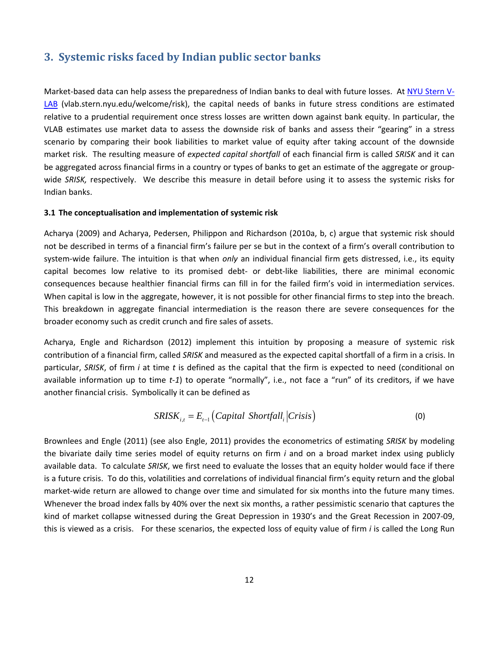# **3. Systemic risks faced by Indian public sector banks**

Market-based data can help assess the preparedness of Indian banks to deal with future losses. At NYU Stern V-LAB (vlab.stern.nyu.edu/welcome/risk), the capital needs of banks in future stress conditions are estimated relative to a prudential requirement once stress losses are written down against bank equity. In particular, the VLAB estimates use market data to assess the downside risk of banks and assess their "gearing" in a stress scenario by comparing their book liabilities to market value of equity after taking account of the downside market risk. The resulting measure of *expected capital shortfall* of each financial firm is called *SRISK* and it can be aggregated across financial firms in a country or types of banks to get an estimate of the aggregate or groupwide *SRISK,* respectively. We describe this measure in detail before using it to assess the systemic risks for Indian banks.

#### **3.1 The conceptualisation and implementation of systemic risk**

Acharya (2009) and Acharya, Pedersen, Philippon and Richardson (2010a, b, c) argue that systemic risk should not be described in terms of a financial firm's failure per se but in the context of a firm's overall contribution to system-wide failure. The intuition is that when *only* an individual financial firm gets distressed, i.e., its equity capital becomes low relative to its promised debt- or debt-like liabilities, there are minimal economic consequences because healthier financial firms can fill in for the failed firm's void in intermediation services. When capital is low in the aggregate, however, it is not possible for other financial firms to step into the breach. This breakdown in aggregate financial intermediation is the reason there are severe consequences for the broader economy such as credit crunch and fire sales of assets.

Acharya, Engle and Richardson (2012) implement this intuition by proposing a measure of systemic risk contribution of a financial firm, called *SRISK* and measured as the expected capital shortfall of a firm in a crisis. In particular, *SRISK*, of firm *i* at time *t* is defined as the capital that the firm is expected to need (conditional on available information up to time *t-1*) to operate "normally", i.e., not face a "run" of its creditors, if we have another financial crisis. Symbolically it can be defined as

$$
SRISK_{i,t} = E_{t-1} (Capital \ Shortfall_i | Crisis)
$$
 (0)

Brownlees and Engle (2011) (see also Engle, 2011) provides the econometrics of estimating *SRISK* by modeling the bivariate daily time series model of equity returns on firm *i* and on a broad market index using publicly available data. To calculate *SRISK*, we first need to evaluate the losses that an equity holder would face if there is a future crisis. To do this, volatilities and correlations of individual financial firm's equity return and the global market-wide return are allowed to change over time and simulated for six months into the future many times. Whenever the broad index falls by 40% over the next six months, a rather pessimistic scenario that captures the kind of market collapse witnessed during the Great Depression in 1930's and the Great Recession in 2007-09, this is viewed as a crisis. For these scenarios, the expected loss of equity value of firm *i* is called the Long Run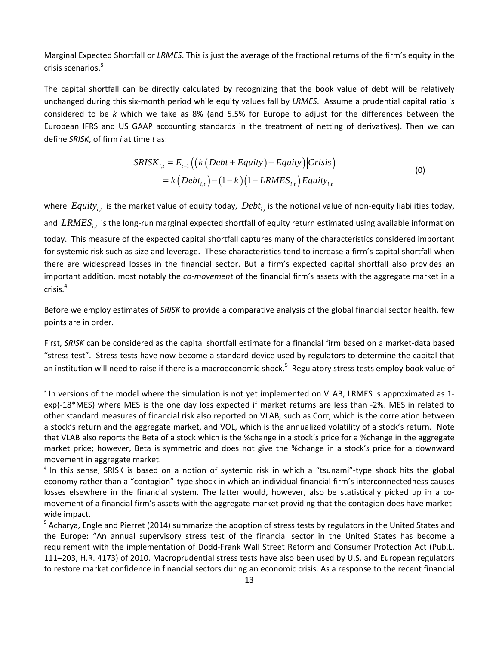Marginal Expected Shortfall or *LRMES*. This is just the average of the fractional returns of the firm's equity in the crisis scenarios.<sup>3</sup>

The capital shortfall can be directly calculated by recognizing that the book value of debt will be relatively unchanged during this six-month period while equity values fall by *LRMES*. Assume a prudential capital ratio is considered to be *k* which we take as 8% (and 5.5% for Europe to adjust for the differences between the European IFRS and US GAAP accounting standards in the treatment of netting of derivatives). Then we can define *SRISK*, of firm *i* at time *t* as:

$$
SRISK_{i,t} = E_{t-1} \left( \left( k \left( Debt + Equity \right) - Equity \right) \middle| Crisis \right)
$$
  
=  $k \left( Debt_{i,t} \right) - (1 - k) \left( 1 - LRMES_{i,t} \right) Equity_{i,t}$  (0)

where *Equity<sub>it</sub>* is the market value of equity today, *Debt<sub>it</sub>* is the notional value of non-equity liabilities today, and  $LRMES_{i,t}$  is the long-run marginal expected shortfall of equity return estimated using available information today. This measure of the expected capital shortfall captures many of the characteristics considered important for systemic risk such as size and leverage. These characteristics tend to increase a firm's capital shortfall when there are widespread losses in the financial sector. But a firm's expected capital shortfall also provides an important addition, most notably the *co-movement* of the financial firm's assets with the aggregate market in a crisis. $4$ 

Before we employ estimates of *SRISK* to provide a comparative analysis of the global financial sector health, few points are in order.

First, *SRISK* can be considered as the capital shortfall estimate for a financial firm based on a market-data based "stress test". Stress tests have now become a standard device used by regulators to determine the capital that an institution will need to raise if there is a macroeconomic shock.<sup>5</sup> Regulatory stress tests employ book value of

 $\overline{a}$ 

<sup>&</sup>lt;sup>3</sup> In versions of the model where the simulation is not yet implemented on VLAB, LRMES is approximated as 1exp(-18\*MES) where MES is the one day loss expected if market returns are less than -2%. MES in related to other standard measures of financial risk also reported on VLAB, such as Corr, which is the correlation between a stock's return and the aggregate market, and VOL, which is the annualized volatility of a stock's return. Note that VLAB also reports the Beta of a stock which is the %change in a stock's price for a %change in the aggregate market price; however, Beta is symmetric and does not give the %change in a stock's price for a downward movement in aggregate market.

<sup>4</sup> In this sense, SRISK is based on a notion of systemic risk in which a "tsunami"-type shock hits the global economy rather than a "contagion"-type shock in which an individual financial firm's interconnectedness causes losses elsewhere in the financial system. The latter would, however, also be statistically picked up in a comovement of a financial firm's assets with the aggregate market providing that the contagion does have marketwide impact.

<sup>&</sup>lt;sup>5</sup> Acharya, Engle and Pierret (2014) summarize the adoption of stress tests by regulators in the United States and the Europe: "An annual supervisory stress test of the financial sector in the United States has become a requirement with the implementation of Dodd-Frank Wall Street Reform and Consumer Protection Act (Pub.L. 111–203, H.R. 4173) of 2010. Macroprudential stress tests have also been used by U.S. and European regulators to restore market confidence in financial sectors during an economic crisis. As a response to the recent financial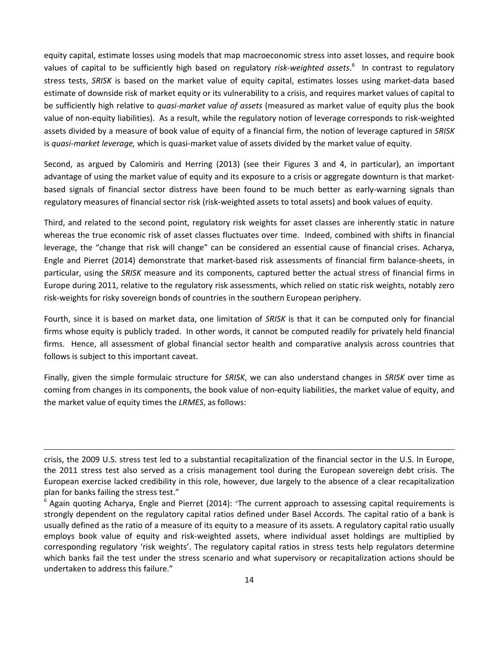equity capital, estimate losses using models that map macroeconomic stress into asset losses, and require book values of capital to be sufficiently high based on regulatory *risk-weighted assets*. 6 In contrast to regulatory stress tests, *SRISK* is based on the market value of equity capital, estimates losses using market-data based estimate of downside risk of market equity or its vulnerability to a crisis, and requires market values of capital to be sufficiently high relative to *quasi-market value of assets* (measured as market value of equity plus the book value of non-equity liabilities). As a result, while the regulatory notion of leverage corresponds to risk-weighted assets divided by a measure of book value of equity of a financial firm, the notion of leverage captured in *SRISK*  is *quasi-market leverage,* which is quasi-market value of assets divided by the market value of equity.

Second, as argued by Calomiris and Herring (2013) (see their Figures 3 and 4, in particular), an important advantage of using the market value of equity and its exposure to a crisis or aggregate downturn is that marketbased signals of financial sector distress have been found to be much better as early-warning signals than regulatory measures of financial sector risk (risk-weighted assets to total assets) and book values of equity.

Third, and related to the second point, regulatory risk weights for asset classes are inherently static in nature whereas the true economic risk of asset classes fluctuates over time. Indeed, combined with shifts in financial leverage, the "change that risk will change" can be considered an essential cause of financial crises. Acharya, Engle and Pierret (2014) demonstrate that market-based risk assessments of financial firm balance-sheets, in particular, using the *SRISK* measure and its components, captured better the actual stress of financial firms in Europe during 2011, relative to the regulatory risk assessments, which relied on static risk weights, notably zero risk-weights for risky sovereign bonds of countries in the southern European periphery.

Fourth, since it is based on market data, one limitation of *SRISK* is that it can be computed only for financial firms whose equity is publicly traded. In other words, it cannot be computed readily for privately held financial firms. Hence, all assessment of global financial sector health and comparative analysis across countries that follows is subject to this important caveat.

Finally, given the simple formulaic structure for *SRISK*, we can also understand changes in *SRISK* over time as coming from changes in its components, the book value of non-equity liabilities, the market value of equity, and the market value of equity times the *LRMES*, as follows:

 $\overline{\phantom{a}}$ 

crisis, the 2009 U.S. stress test led to a substantial recapitalization of the financial sector in the U.S. In Europe, the 2011 stress test also served as a crisis management tool during the European sovereign debt crisis. The European exercise lacked credibility in this role, however, due largely to the absence of a clear recapitalization plan for banks failing the stress test."

 $6$  Again quoting Acharya, Engle and Pierret (2014): "The current approach to assessing capital requirements is strongly dependent on the regulatory capital ratios defined under Basel Accords. The capital ratio of a bank is usually defined as the ratio of a measure of its equity to a measure of its assets. A regulatory capital ratio usually employs book value of equity and risk-weighted assets, where individual asset holdings are multiplied by corresponding regulatory 'risk weights'. The regulatory capital ratios in stress tests help regulators determine which banks fail the test under the stress scenario and what supervisory or recapitalization actions should be undertaken to address this failure."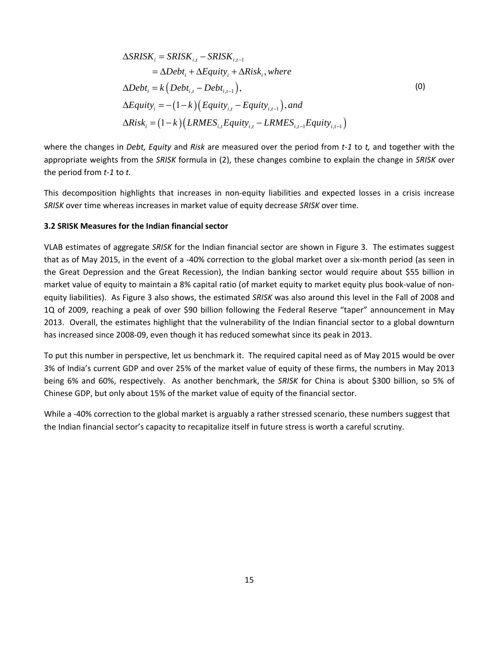$$
\Delta SRISK_i = SRISK_{i,t} - SRISK_{i,t-1}
$$
  
=  $\Delta Debt_i + \Delta Equity_i + \Delta Risk_i$ , where  

$$
\Delta Debt_i = k \left( Debt_{i,t} - Debt_{i,t-1} \right),
$$
  

$$
\Delta Equity_i = -(1-k) \left( Equity_{i,t} - Equity_{i,t-1} \right), and
$$
  

$$
\Delta Risk_i = (1-k) \left( LRMES_{i,t} Equity_{i,t} - LRMES_{i,t-1} Equity_{i,t-1} \right)
$$
 (0)

where the changes in *Debt, Equity* and *Risk* are measured over the period from *t-1* to *t,* and together with the appropriate weights from the *SRISK* formula in (2), these changes combine to explain the change in *SRISK* over the period from *t-1* to *t.*

This decomposition highlights that increases in non-equity liabilities and expected losses in a crisis increase *SRISK* over time whereas increases in market value of equity decrease *SRISK* over time.

#### **3.2 SRISK Measures for the Indian financial sector**

VLAB estimates of aggregate *SRISK* for the Indian financial sector are shown in Figure 3. The estimates suggest that as of May 2015, in the event of a -40% correction to the global market over a six-month period (as seen in the Great Depression and the Great Recession), the Indian banking sector would require about \$55 billion in market value of equity to maintain a 8% capital ratio (of market equity to market equity plus book-value of nonequity liabilities). As Figure 3 also shows, the estimated *SRISK* was also around this level in the Fall of 2008 and 1Q of 2009, reaching a peak of over \$90 billion following the Federal Reserve "taper" announcement in May 2013. Overall, the estimates highlight that the vulnerability of the Indian financial sector to a global downturn has increased since 2008-09, even though it has reduced somewhat since its peak in 2013.

To put this number in perspective, let us benchmark it. The required capital need as of May 2015 would be over 3% of India's current GDP and over 25% of the market value of equity of these firms, the numbers in May 2013 being 6% and 60%, respectively. As another benchmark, the *SRISK* for China is about \$300 billion, so 5% of Chinese GDP, but only about 15% of the market value of equity of the financial sector.

While a -40% correction to the global market is arguably a rather stressed scenario, these numbers suggest that the Indian financial sector's capacity to recapitalize itself in future stress is worth a careful scrutiny.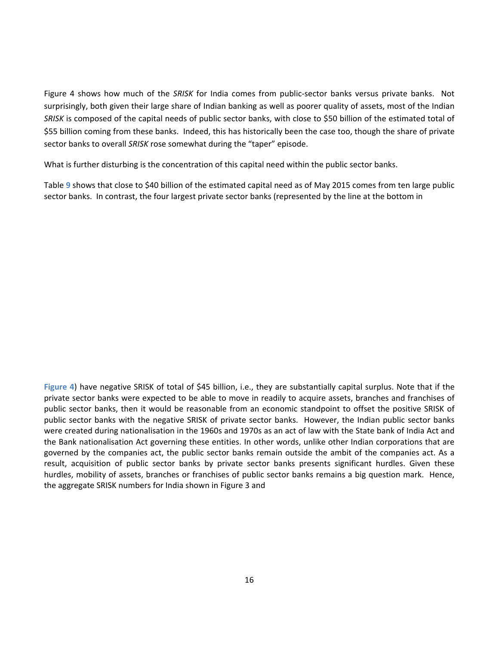Figure 4 shows how much of the *SRISK* for India comes from public-sector banks versus private banks. Not surprisingly, both given their large share of Indian banking as well as poorer quality of assets, most of the Indian *SRISK* is composed of the capital needs of public sector banks, with close to \$50 billion of the estimated total of \$55 billion coming from these banks. Indeed, this has historically been the case too, though the share of private sector banks to overall *SRISK* rose somewhat during the "taper" episode.

What is further disturbing is the concentration of this capital need within the public sector banks.

Table **9** shows that close to \$40 billion of the estimated capital need as of May 2015 comes from ten large public sector banks. In contrast, the four largest private sector banks (represented by the line at the bottom in

**Figure 4**) have negative SRISK of total of \$45 billion, i.e., they are substantially capital surplus. Note that if the private sector banks were expected to be able to move in readily to acquire assets, branches and franchises of public sector banks, then it would be reasonable from an economic standpoint to offset the positive SRISK of public sector banks with the negative SRISK of private sector banks. However, the Indian public sector banks were created during nationalisation in the 1960s and 1970s as an act of law with the State bank of India Act and the Bank nationalisation Act governing these entities. In other words, unlike other Indian corporations that are governed by the companies act, the public sector banks remain outside the ambit of the companies act. As a result, acquisition of public sector banks by private sector banks presents significant hurdles. Given these hurdles, mobility of assets, branches or franchises of public sector banks remains a big question mark. Hence, the aggregate SRISK numbers for India shown in Figure 3 and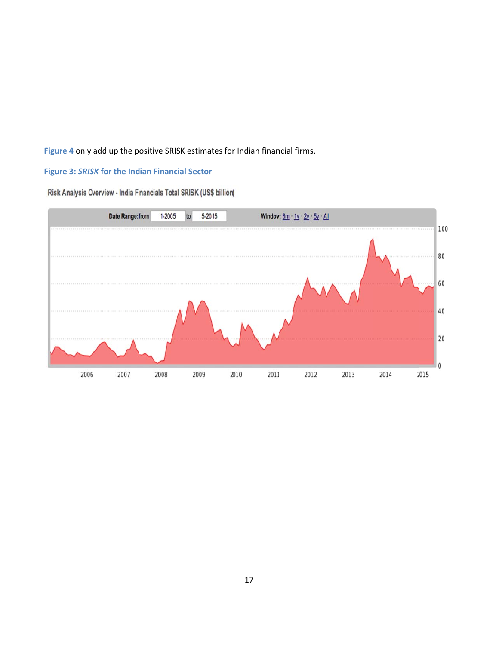Figure 4 only add up the positive SRISK estimates for Indian financial firms.

### **F Figure 3:** *SRIS K* **for the Ind ian Financial Sector**

Risk Analysis Overview - India Financials Total SRISK (US\$ billion)

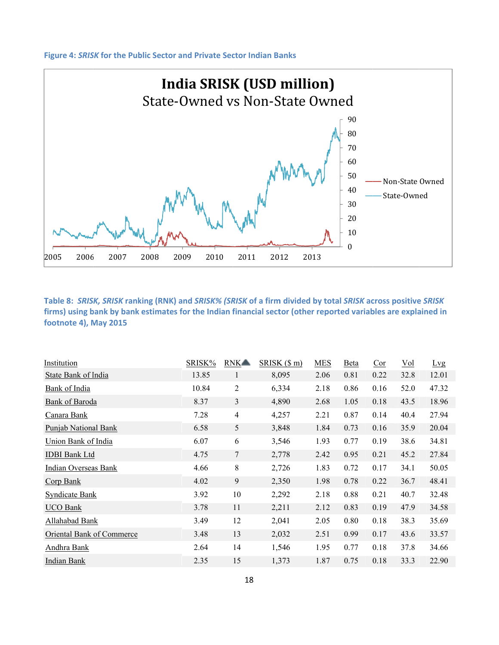#### **Figure 4: SRISK for the Public Sector and Private Sector Indian Banks**



Table 8: SRISK, SRISK ranking (RNK) and SRISK% (SRISK of a firm divided by total SRISK across positive SRISK firms) using bank by bank estimates for the Indian financial sector (other reported variables are explained in **f footnote 4), M May 2015** 

| Institution                 | SRISK% | <b>RNK</b>     | $SRISK($ $$m)$ | <b>MES</b> | <b>B</b> eta | Cor  | $\underline{\mathrm{Vol}}$ | Lvg   |
|-----------------------------|--------|----------------|----------------|------------|--------------|------|----------------------------|-------|
| <b>State Bank of India</b>  | 13.85  | $\mathbf{1}$   | 8,095          | 2.06       | 0.81         | 0.22 | 32.8                       | 12.01 |
| <b>Bank of India</b>        | 10.84  | $\overline{2}$ | 6,334          | 2.18       | 0.86         | 0.16 | 52.0                       | 47.32 |
| <b>Bank of Baroda</b>       | 8.37   | 3              | 4,890          | 2.68       | 1.05         | 0.18 | 43.5                       | 18.96 |
| Canara Bank                 | 7.28   | $\overline{4}$ | 4,257          | 2.21       | 0.87         | 0.14 | 40.4                       | 27.94 |
| <b>Punjab National Bank</b> | 6.58   | 5              | 3,848          | 1.84       | 0.73         | 0.16 | 35.9                       | 20.04 |
| Union Bank of India         | 6.07   | 6              | 3,546          | 1.93       | 0.77         | 0.19 | 38.6                       | 34.81 |
| <b>IDBI</b> Bank Ltd        | 4.75   | 7              | 2,778          | 2.42       | 0.95         | 0.21 | 45.2                       | 27.84 |
| <b>Indian Overseas Bank</b> | 4.66   | $\,8\,$        | 2,726          | 1.83       | 0.72         | 0.17 | 34.1                       | 50.05 |
| Corp Bank                   | 4.02   | 9              | 2,350          | 1.98       | 0.78         | 0.22 | 36.7                       | 48.41 |
| <b>Syndicate Bank</b>       | 3.92   | 10             | 2,292          | 2.18       | 0.88         | 0.21 | 40.7                       | 32.48 |
| <b>UCO</b> Bank             | 3.78   | 11             | 2,211          | 2.12       | 0.83         | 0.19 | 47.9                       | 34.58 |
| <b>Allahabad Bank</b>       | 3.49   | 12             | 2,041          | 2.05       | 0.80         | 0.18 | 38.3                       | 35.69 |
| Oriental Bank of Commerce   | 3.48   | 13             | 2,032          | 2.51       | 0.99         | 0.17 | 43.6                       | 33.57 |
| <b>Andhra Bank</b>          | 2.64   | 14             | 1,546          | 1.95       | 0.77         | 0.18 | 37.8                       | 34.66 |
| <b>Indian Bank</b>          | 2.35   | 15             | 1,373          | 1.87       | 0.75         | 0.18 | 33.3                       | 22.90 |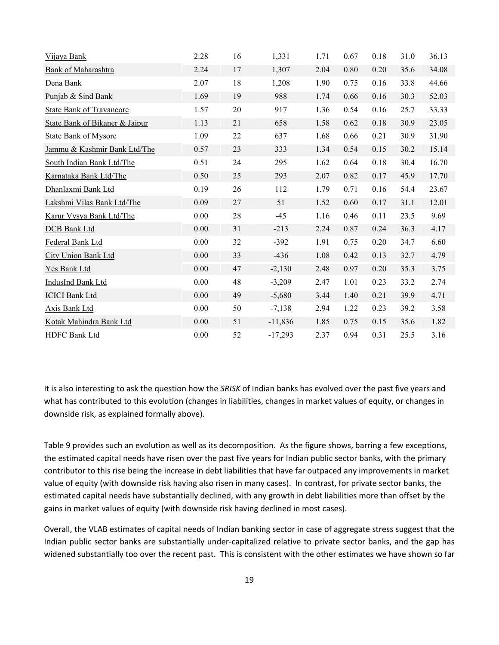| Vijaya Bank                     | 2.28 | 16     | 1,331     | 1.71 | 0.67 | 0.18 | 31.0 | 36.13 |
|---------------------------------|------|--------|-----------|------|------|------|------|-------|
| <b>Bank of Maharashtra</b>      | 2.24 | 17     | 1,307     | 2.04 | 0.80 | 0.20 | 35.6 | 34.08 |
| Dena Bank                       | 2.07 | $18\,$ | 1,208     | 1.90 | 0.75 | 0.16 | 33.8 | 44.66 |
| Punjab & Sind Bank              | 1.69 | 19     | 988       | 1.74 | 0.66 | 0.16 | 30.3 | 52.03 |
| <b>State Bank of Travancore</b> | 1.57 | 20     | 917       | 1.36 | 0.54 | 0.16 | 25.7 | 33.33 |
| State Bank of Bikaner & Jaipur  | 1.13 | 21     | 658       | 1.58 | 0.62 | 0.18 | 30.9 | 23.05 |
| <b>State Bank of Mysore</b>     | 1.09 | 22     | 637       | 1.68 | 0.66 | 0.21 | 30.9 | 31.90 |
| Jammu & Kashmir Bank Ltd/The    | 0.57 | 23     | 333       | 1.34 | 0.54 | 0.15 | 30.2 | 15.14 |
| South Indian Bank Ltd/The       | 0.51 | 24     | 295       | 1.62 | 0.64 | 0.18 | 30.4 | 16.70 |
| Karnataka Bank Ltd/The          | 0.50 | 25     | 293       | 2.07 | 0.82 | 0.17 | 45.9 | 17.70 |
| Dhanlaxmi Bank Ltd              | 0.19 | 26     | 112       | 1.79 | 0.71 | 0.16 | 54.4 | 23.67 |
| Lakshmi Vilas Bank Ltd/The      | 0.09 | 27     | 51        | 1.52 | 0.60 | 0.17 | 31.1 | 12.01 |
| Karur Vysya Bank Ltd/The        | 0.00 | 28     | $-45$     | 1.16 | 0.46 | 0.11 | 23.5 | 9.69  |
| <b>DCB</b> Bank Ltd             | 0.00 | 31     | $-213$    | 2.24 | 0.87 | 0.24 | 36.3 | 4.17  |
| Federal Bank Ltd                | 0.00 | 32     | $-392$    | 1.91 | 0.75 | 0.20 | 34.7 | 6.60  |
| <b>City Union Bank Ltd</b>      | 0.00 | 33     | $-436$    | 1.08 | 0.42 | 0.13 | 32.7 | 4.79  |
| Yes Bank Ltd                    | 0.00 | 47     | $-2,130$  | 2.48 | 0.97 | 0.20 | 35.3 | 3.75  |
| <b>IndusInd Bank Ltd</b>        | 0.00 | 48     | $-3,209$  | 2.47 | 1.01 | 0.23 | 33.2 | 2.74  |
| <b>ICICI Bank Ltd</b>           | 0.00 | 49     | $-5,680$  | 3.44 | 1.40 | 0.21 | 39.9 | 4.71  |
| Axis Bank Ltd                   | 0.00 | 50     | $-7,138$  | 2.94 | 1.22 | 0.23 | 39.2 | 3.58  |
| Kotak Mahindra Bank Ltd         | 0.00 | 51     | $-11,836$ | 1.85 | 0.75 | 0.15 | 35.6 | 1.82  |
| HDFC Bank Ltd                   | 0.00 | 52     | $-17,293$ | 2.37 | 0.94 | 0.31 | 25.5 | 3.16  |

It is also interesting to ask the question how the *SRISK* of Indian banks has evolved over the past five years and what has contributed to this evolution (changes in liabilities, changes in market values of equity, or changes in downside risk, as explained formally above).

Table 9 provides such an evolution as well as its decomposition. As the figure shows, barring a few exceptions, the estimated capital needs have risen over the past five years for Indian public sector banks, with the primary contributor to this rise being the increase in debt liabilities that have far outpaced any improvements in market value of equity (with downside risk having also risen in many cases). In contrast, for private sector banks, the estimated capital needs have substantially declined, with any growth in debt liabilities more than offset by the gains in market values of equity (with downside risk having declined in most cases).

Overall, the VLAB estimates of capital needs of Indian banking sector in case of aggregate stress suggest that the Indian public sector banks are substantially under-capitalized relative to private sector banks, and the gap has widened substantially too over the recent past. This is consistent with the other estimates we have shown so far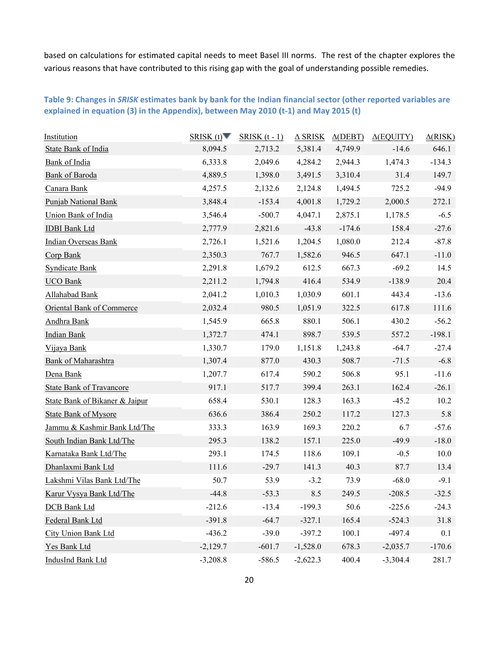based on calculations for estimated capital needs to meet Basel III norms. The rest of the chapter explores the various reasons that have contributed to this rising gap with the goal of understanding possible remedies.

### Table 9: Changes in *SRISK* estimates bank by bank for the Indian financial sector (other reported variables are explained in equation (3) in the Appendix), between May 2010 (t-1) and May 2015 (t)

| Institution                      | SRISK(t)   | SRISK $(t - 1)$ | $\Delta$ SRISK | $\Delta$ (DEBT) | $\Delta$ (EQUITY) | $\Delta$ (RISK) |
|----------------------------------|------------|-----------------|----------------|-----------------|-------------------|-----------------|
| <b>State Bank of India</b>       | 8,094.5    | 2,713.2         | 5,381.4        | 4,749.9         | $-14.6$           | 646.1           |
| <b>Bank of India</b>             | 6,333.8    | 2,049.6         | 4,284.2        | 2,944.3         | 1,474.3           | $-134.3$        |
| <b>Bank of Baroda</b>            | 4,889.5    | 1,398.0         | 3,491.5        | 3,310.4         | 31.4              | 149.7           |
| Canara Bank                      | 4,257.5    | 2,132.6         | 2,124.8        | 1,494.5         | 725.2             | $-94.9$         |
| <b>Punjab National Bank</b>      | 3,848.4    | $-153.4$        | 4,001.8        | 1,729.2         | 2,000.5           | 272.1           |
| Union Bank of India              | 3,546.4    | $-500.7$        | 4,047.1        | 2,875.1         | 1,178.5           | $-6.5$          |
| <b>IDBI Bank Ltd</b>             | 2,777.9    | 2,821.6         | $-43.8$        | $-174.6$        | 158.4             | $-27.6$         |
| <b>Indian Overseas Bank</b>      | 2,726.1    | 1,521.6         | 1,204.5        | 1,080.0         | 212.4             | $-87.8$         |
| Corp Bank                        | 2,350.3    | 767.7           | 1,582.6        | 946.5           | 647.1             | $-11.0$         |
| <b>Syndicate Bank</b>            | 2,291.8    | 1,679.2         | 612.5          | 667.3           | $-69.2$           | 14.5            |
| <b>UCO</b> Bank                  | 2,211.2    | 1,794.8         | 416.4          | 534.9           | $-138.9$          | 20.4            |
| <b>Allahabad Bank</b>            | 2,041.2    | 1,010.3         | 1,030.9        | 601.1           | 443.4             | $-13.6$         |
| <b>Oriental Bank of Commerce</b> | 2,032.4    | 980.5           | 1,051.9        | 322.5           | 617.8             | 111.6           |
| <b>Andhra Bank</b>               | 1,545.9    | 665.8           | 880.1          | 506.1           | 430.2             | $-56.2$         |
| <b>Indian Bank</b>               | 1,372.7    | 474.1           | 898.7          | 539.5           | 557.2             | $-198.1$        |
| Vijaya Bank                      | 1,330.7    | 179.0           | 1,151.8        | 1,243.8         | $-64.7$           | $-27.4$         |
| Bank of Maharashtra              | 1,307.4    | 877.0           | 430.3          | 508.7           | $-71.5$           | $-6.8$          |
| Dena Bank                        | 1,207.7    | 617.4           | 590.2          | 506.8           | 95.1              | $-11.6$         |
| <b>State Bank of Travancore</b>  | 917.1      | 517.7           | 399.4          | 263.1           | 162.4             | $-26.1$         |
| State Bank of Bikaner & Jaipur   | 658.4      | 530.1           | 128.3          | 163.3           | $-45.2$           | 10.2            |
| <b>State Bank of Mysore</b>      | 636.6      | 386.4           | 250.2          | 117.2           | 127.3             | 5.8             |
| Jammu & Kashmir Bank Ltd/The     | 333.3      | 163.9           | 169.3          | 220.2           | 6.7               | $-57.6$         |
| South Indian Bank Ltd/The        | 295.3      | 138.2           | 157.1          | 225.0           | $-49.9$           | $-18.0$         |
| Karnataka Bank Ltd/The           | 293.1      | 174.5           | 118.6          | 109.1           | $-0.5$            | 10.0            |
| Dhanlaxmi Bank Ltd               | 111.6      | $-29.7$         | 141.3          | 40.3            | 87.7              | 13.4            |
| Lakshmi Vilas Bank Ltd/The       | 50.7       | 53.9            | $-3.2$         | 73.9            | $-68.0$           | $-9.1$          |
| Karur Vysya Bank Ltd/The         | $-44.8$    | $-53.3$         | 8.5            | 249.5           | $-208.5$          | $-32.5$         |
| <b>DCB</b> Bank Ltd              | $-212.6$   | $-13.4$         | $-199.3$       | 50.6            | $-225.6$          | $-24.3$         |
| Federal Bank Ltd                 | $-391.8$   | $-64.7$         | $-327.1$       | 165.4           | $-524.3$          | 31.8            |
| City Union Bank Ltd              | $-436.2$   | $-39.0$         | $-397.2$       | 100.1           | $-497.4$          | 0.1             |
| Yes Bank Ltd                     | $-2,129.7$ | $-601.7$        | $-1,528.0$     | 678.3           | $-2,035.7$        | $-170.6$        |
| <b>IndusInd Bank Ltd</b>         | $-3,208.8$ | $-586.5$        | $-2,622.3$     | 400.4           | $-3,304.4$        | 281.7           |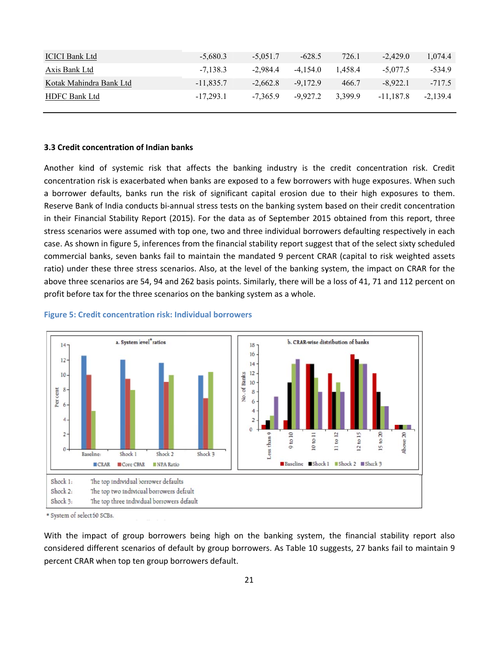| <b>ICICI Bank Ltd</b>   | $-5,680.3$  | $-5.051.7$ | $-628.5$   | 726.1   | $-2.429.0$  | 1.074.4    |
|-------------------------|-------------|------------|------------|---------|-------------|------------|
| Axis Bank Ltd           | $-7.138.3$  | $-2.984.4$ | $-4.154.0$ | 1.458.4 | $-5.077.5$  | -534.9     |
| Kotak Mahindra Bank Ltd | $-11,835.7$ | $-2.662.8$ | $-9.172.9$ | 466.7   | $-8.922.1$  | $-717.5$   |
| HDFC Bank Ltd           | $-17.293.1$ | $-7.365.9$ | -9.927.2   | 3.399.9 | $-11.187.8$ | $-2.139.4$ |

#### **3.3 Credit concentration of Indian banks**

Another kind of systemic risk that affects the banking industry is the credit concentration risk. Credit concentration risk is exacerbated when banks are exposed to a few borrowers with huge exposures. When such a borrower defaults, banks run the risk of significant capital erosion due to their high exposures to them. Reserve Bank of India conducts bi-annual stress tests on the banking system based on their credit concentration in their Financial Stability Report (2015). For the data as of September 2015 obtained from this report, three stress scenarios were assumed with top one, two and three individual borrowers defaulting respectively in each case. As shown in figure 5, inferences from the financial stability report suggest that of the select sixty scheduled commercial banks, seven banks fail to maintain the mandated 9 percent CRAR (capital to risk weighted assets ratio) under these three stress scenarios. Also, at the level of the banking system, the impact on CRAR for the above three scenarios are 54, 94 and 262 basis points. Similarly, there will be a loss of 41, 71 and 112 percent on profit before tax for the three scenarios on the banking system as a whole.



#### **Figure 5: Credit concentration risk: Individual borrowers**

\* System of select 60 SCBs.

With the impact of group borrowers being high on the banking system, the financial stability report also considered different scenarios of default by group borrowers. As Table 10 suggests, 27 banks fail to maintain 9 p percent CRAR R when top te n group borr owers defaul t.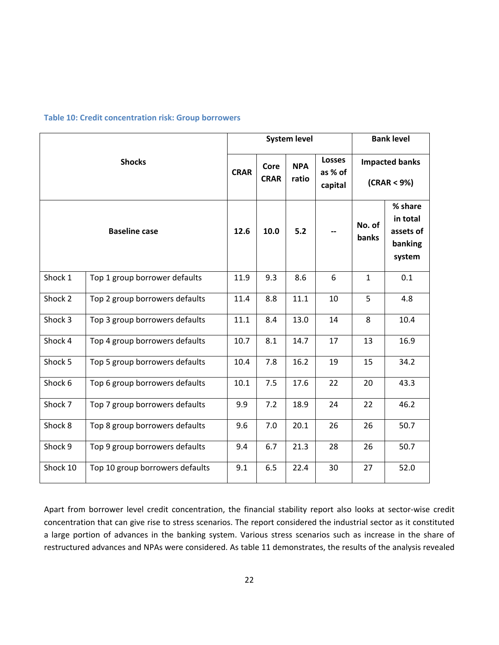#### **Table 10: Credit concentration risk: Group borrowers**

| <b>Shocks</b> |                                 |             | <b>System level</b> | <b>Bank level</b>   |                                     |                 |                                                       |
|---------------|---------------------------------|-------------|---------------------|---------------------|-------------------------------------|-----------------|-------------------------------------------------------|
|               |                                 | <b>CRAR</b> | Core<br><b>CRAR</b> | <b>NPA</b><br>ratio | <b>Losses</b><br>as % of<br>capital |                 | <b>Impacted banks</b><br>(CRAR < 9%)                  |
|               | <b>Baseline case</b>            | 12.6        | 10.0                | 5.2                 |                                     | No. of<br>banks | % share<br>in total<br>assets of<br>banking<br>system |
| Shock 1       | Top 1 group borrower defaults   | 11.9        | 9.3                 | 8.6                 | 6                                   | $\mathbf{1}$    | 0.1                                                   |
| Shock 2       | Top 2 group borrowers defaults  | 11.4        | 8.8                 | 11.1                | 10                                  | 5               | 4.8                                                   |
| Shock 3       | Top 3 group borrowers defaults  | 11.1        | 8.4                 | 13.0                | 14                                  | 8               | 10.4                                                  |
| Shock 4       | Top 4 group borrowers defaults  | 10.7        | 8.1                 | 14.7                | 17                                  | 13              | 16.9                                                  |
| Shock 5       | Top 5 group borrowers defaults  | 10.4        | 7.8                 | 16.2                | 19                                  | 15              | 34.2                                                  |
| Shock 6       | Top 6 group borrowers defaults  | 10.1        | 7.5                 | 17.6                | 22                                  | 20              | 43.3                                                  |
| Shock 7       | Top 7 group borrowers defaults  | 9.9         | 7.2                 | 18.9                | 24                                  | 22              | 46.2                                                  |
| Shock 8       | Top 8 group borrowers defaults  | 9.6         | 7.0                 | 20.1                | 26                                  | 26              | 50.7                                                  |
| Shock 9       | Top 9 group borrowers defaults  | 9.4         | 6.7                 | 21.3                | 28                                  | 26              | 50.7                                                  |
| Shock 10      | Top 10 group borrowers defaults | 9.1         | 6.5                 | 22.4                | 30                                  | 27              | 52.0                                                  |

Apart from borrower level credit concentration, the financial stability report also looks at sector-wise credit concentration that can give rise to stress scenarios. The report considered the industrial sector as it constituted a large portion of advances in the banking system. Various stress scenarios such as increase in the share of restructured advances and NPAs were considered. As table 11 demonstrates, the results of the analysis revealed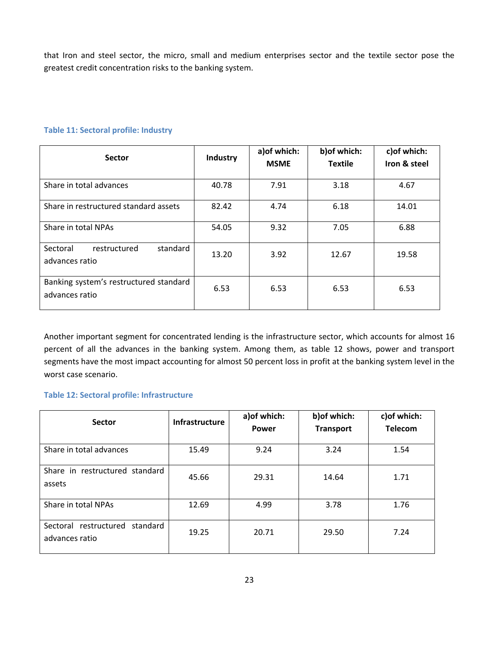that Iron and steel sector, the micro, small and medium enterprises sector and the textile sector pose the greatest credit concentration risks to the banking system.

| <b>Sector</b>                                            | Industry | a) of which:<br><b>MSME</b> | b) of which:<br><b>Textile</b> | c) of which:<br>Iron & steel |
|----------------------------------------------------------|----------|-----------------------------|--------------------------------|------------------------------|
| Share in total advances                                  | 40.78    | 7.91                        | 3.18                           | 4.67                         |
| Share in restructured standard assets                    | 82.42    | 4.74                        | 6.18                           | 14.01                        |
| Share in total NPAs                                      | 54.05    | 9.32                        | 7.05                           | 6.88                         |
| standard<br>restructured<br>Sectoral<br>advances ratio   | 13.20    | 3.92                        | 12.67                          | 19.58                        |
| Banking system's restructured standard<br>advances ratio | 6.53     | 6.53                        | 6.53                           | 6.53                         |

### **Table 11: Sectoral profile: Industry**

Another important segment for concentrated lending is the infrastructure sector, which accounts for almost 16 percent of all the advances in the banking system. Among them, as table 12 shows, power and transport segments have the most impact accounting for almost 50 percent loss in profit at the banking system level in the worst case scenario.

### **Table 12: Sectoral profile: Infrastructure**

| <b>Sector</b>                                    | <b>Infrastructure</b> | a) of which:<br><b>Power</b> | b) of which:<br><b>Transport</b> | c) of which:<br><b>Telecom</b> |
|--------------------------------------------------|-----------------------|------------------------------|----------------------------------|--------------------------------|
| Share in total advances                          | 15.49                 | 9.24                         | 3.24                             | 1.54                           |
| Share in restructured standard<br>assets         | 45.66                 | 29.31                        | 14.64                            | 1.71                           |
| Share in total NPAs                              | 12.69                 | 4.99                         | 3.78                             | 1.76                           |
| Sectoral restructured standard<br>advances ratio | 19.25                 | 20.71                        | 29.50                            | 7.24                           |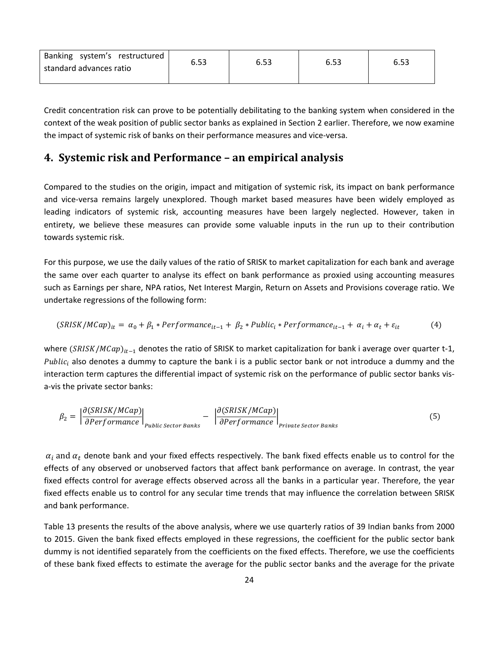| Banking system's restructured | 6.53 | 6.53 | 6.53 | 6.53 |
|-------------------------------|------|------|------|------|
| standard advances ratio       |      |      |      |      |

Credit concentration risk can prove to be potentially debilitating to the banking system when considered in the context of the weak position of public sector banks as explained in Section 2 earlier. Therefore, we now examine the impact of systemic risk of banks on their performance measures and vice-versa.

# **4. Systemic risk and Performance – an empirical analysis**

Compared to the studies on the origin, impact and mitigation of systemic risk, its impact on bank performance and vice-versa remains largely unexplored. Though market based measures have been widely employed as leading indicators of systemic risk, accounting measures have been largely neglected. However, taken in entirety, we believe these measures can provide some valuable inputs in the run up to their contribution towards systemic risk.

For this purpose, we use the daily values of the ratio of SRISK to market capitalization for each bank and average the same over each quarter to analyse its effect on bank performance as proxied using accounting measures such as Earnings per share, NPA ratios, Net Interest Margin, Return on Assets and Provisions coverage ratio. We undertake regressions of the following form:

$$
(SRISK/MCap)_{it} = \alpha_0 + \beta_1 * Performance_{it-1} + \beta_2 * Public_i * Performance_{it-1} + \alpha_i + \alpha_t + \varepsilon_{it}
$$
 (4)

where  $(SRISK/MCap)_{it-1}$  denotes the ratio of SRISK to market capitalization for bank i average over quarter t-1, *Public<sub>i</sub>* also denotes a dummy to capture the bank i is a public sector bank or not introduce a dummy and the interaction term captures the differential impact of systemic risk on the performance of public sector banks visa-vis the private sector banks:

$$
\beta_2 = \left. \left| \frac{\partial (SRISK/MCap)}{\partial Performance} \right|_{public Sector Banks} - \left. \left| \frac{\partial (SRISK/MCap)}{\partial Performance} \right|_{private Sector Banks} \right. \tag{5}
$$

 $\alpha_i$  and  $\alpha_t$  denote bank and your fixed effects respectively. The bank fixed effects enable us to control for the effects of any observed or unobserved factors that affect bank performance on average. In contrast, the year fixed effects control for average effects observed across all the banks in a particular year. Therefore, the year fixed effects enable us to control for any secular time trends that may influence the correlation between SRISK and bank performance.

Table 13 presents the results of the above analysis, where we use quarterly ratios of 39 Indian banks from 2000 to 2015. Given the bank fixed effects employed in these regressions, the coefficient for the public sector bank dummy is not identified separately from the coefficients on the fixed effects. Therefore, we use the coefficients of these bank fixed effects to estimate the average for the public sector banks and the average for the private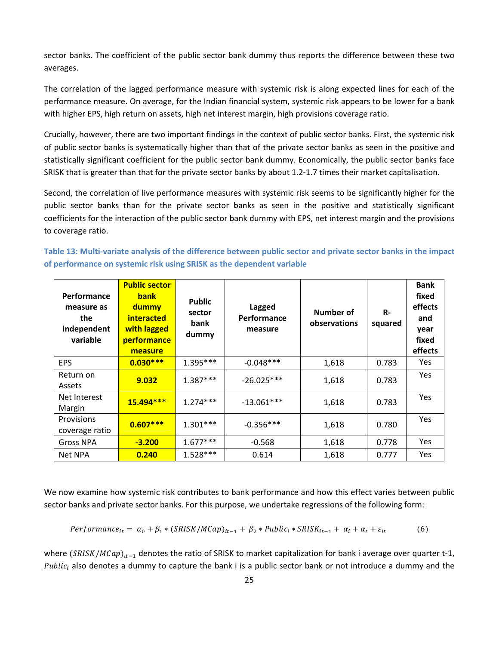sector banks. The coefficient of the public sector bank dummy thus reports the difference between these two averages.

The correlation of the lagged performance measure with systemic risk is along expected lines for each of the performance measure. On average, for the Indian financial system, systemic risk appears to be lower for a bank with higher EPS, high return on assets, high net interest margin, high provisions coverage ratio.

Crucially, however, there are two important findings in the context of public sector banks. First, the systemic risk of public sector banks is systematically higher than that of the private sector banks as seen in the positive and statistically significant coefficient for the public sector bank dummy. Economically, the public sector banks face SRISK that is greater than that for the private sector banks by about 1.2-1.7 times their market capitalisation.

Second, the correlation of live performance measures with systemic risk seems to be significantly higher for the public sector banks than for the private sector banks as seen in the positive and statistically significant coefficients for the interaction of the public sector bank dummy with EPS, net interest margin and the provisions to coverage ratio.

**Table 13: Multi-variate analysis of the difference between public sector and private sector banks in the impact of performance on systemic risk using SRISK as the dependent variable** 

| <b>Performance</b><br>measure as<br>the<br>independent<br>variable | <b>Public sector</b><br><b>bank</b><br><b>dummy</b><br><b>interacted</b><br>with lagged<br>performance<br>measure | <b>Public</b><br>sector<br>bank<br>dummy | Lagged<br><b>Performance</b><br>measure | <b>Number of</b><br>observations | R-<br>squared | <b>Bank</b><br>fixed<br>effects<br>and<br>year<br>fixed<br>effects |
|--------------------------------------------------------------------|-------------------------------------------------------------------------------------------------------------------|------------------------------------------|-----------------------------------------|----------------------------------|---------------|--------------------------------------------------------------------|
| <b>EPS</b>                                                         | $0.030***$                                                                                                        | $1.395***$                               | $-0.048$ ***                            | 1,618                            | 0.783         | <b>Yes</b>                                                         |
| Return on<br>Assets                                                | 9.032                                                                                                             | $1.387***$                               | $-26.025***$                            | 1,618                            | 0.783         | Yes                                                                |
| Net Interest<br>Margin                                             | $15.494***$                                                                                                       | $1.274***$                               | $-13.061***$                            | 1,618                            | 0.783         | <b>Yes</b>                                                         |
| Provisions<br>coverage ratio                                       | $0.607***$                                                                                                        | $1.301***$                               | $-0.356***$                             | 1,618                            | 0.780         | <b>Yes</b>                                                         |
| <b>Gross NPA</b>                                                   | $-3.200$                                                                                                          | $1.677***$                               | $-0.568$                                | 1,618                            | 0.778         | <b>Yes</b>                                                         |
| <b>Net NPA</b>                                                     | 0.240                                                                                                             | $1.528***$                               | 0.614                                   | 1,618                            | 0.777         | Yes                                                                |

We now examine how systemic risk contributes to bank performance and how this effect varies between public sector banks and private sector banks. For this purpose, we undertake regressions of the following form:

$$
Performance_{it} = \alpha_0 + \beta_1 * (SRISK/MCap)_{it-1} + \beta_2 * Public_i * SRISK_{it-1} + \alpha_i + \alpha_t + \varepsilon_{it}
$$
 (6)

where  $(SRISK/MCap)_{it-1}$  denotes the ratio of SRISK to market capitalization for bank i average over quarter t-1, *Public<sub>i</sub>* also denotes a dummy to capture the bank i is a public sector bank or not introduce a dummy and the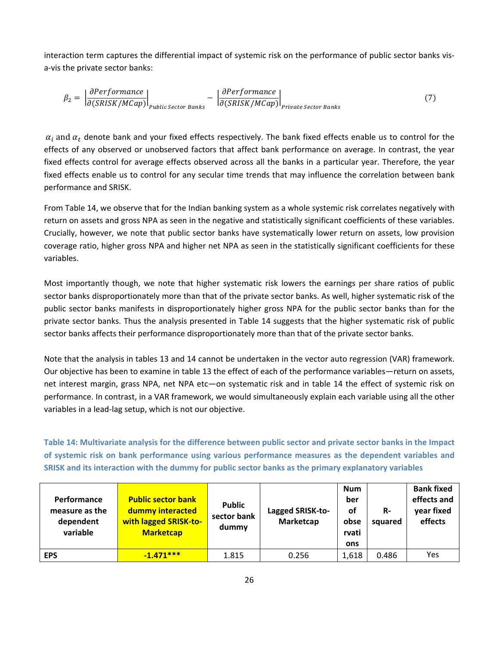interaction term captures the differential impact of systemic risk on the performance of public sector banks visa-vis the private sector banks:

$$
\beta_2 = \left. \left| \frac{\partial \text{Performance}}{\partial (\text{SRISK}/\text{MCap})} \right|_{\text{public Sector Banks}} - \left. \left| \frac{\partial \text{Performance}}{\partial (\text{SRISK}/\text{MCap})} \right|_{\text{private Sector Banks}} \right. \right. \tag{7}
$$

 $\alpha_i$  and  $\alpha_t$  denote bank and your fixed effects respectively. The bank fixed effects enable us to control for the effects of any observed or unobserved factors that affect bank performance on average. In contrast, the year fixed effects control for average effects observed across all the banks in a particular year. Therefore, the year fixed effects enable us to control for any secular time trends that may influence the correlation between bank performance and SRISK.

From Table 14, we observe that for the Indian banking system as a whole systemic risk correlates negatively with return on assets and gross NPA as seen in the negative and statistically significant coefficients of these variables. Crucially, however, we note that public sector banks have systematically lower return on assets, low provision coverage ratio, higher gross NPA and higher net NPA as seen in the statistically significant coefficients for these variables.

Most importantly though, we note that higher systematic risk lowers the earnings per share ratios of public sector banks disproportionately more than that of the private sector banks. As well, higher systematic risk of the public sector banks manifests in disproportionately higher gross NPA for the public sector banks than for the private sector banks. Thus the analysis presented in Table 14 suggests that the higher systematic risk of public sector banks affects their performance disproportionately more than that of the private sector banks.

Note that the analysis in tables 13 and 14 cannot be undertaken in the vector auto regression (VAR) framework. Our objective has been to examine in table 13 the effect of each of the performance variables—return on assets, net interest margin, grass NPA, net NPA etc—on systematic risk and in table 14 the effect of systemic risk on performance. In contrast, in a VAR framework, we would simultaneously explain each variable using all the other variables in a lead-lag setup, which is not our objective.

**Table 14: Multivariate analysis for the difference between public sector and private sector banks in the Impact of systemic risk on bank performance using various performance measures as the dependent variables and SRISK and its interaction with the dummy for public sector banks as the primary explanatory variables** 

| <b>Performance</b><br>measure as the<br>dependent<br>variable | <b>Public sector bank</b><br>dummy interacted<br>with lagged SRISK-to-<br><b>Marketcap</b> | <b>Public</b><br>sector bank<br>dummy | Lagged SRISK-to-<br>Marketcap | <b>Num</b><br>ber<br>of<br>obse<br>rvati<br>ons | $R-$<br>squared | <b>Bank fixed</b><br>effects and<br>year fixed<br>effects |
|---------------------------------------------------------------|--------------------------------------------------------------------------------------------|---------------------------------------|-------------------------------|-------------------------------------------------|-----------------|-----------------------------------------------------------|
| <b>EPS</b>                                                    | $-1.471***$                                                                                | 1.815                                 | 0.256                         | 1,618                                           | 0.486           | Yes                                                       |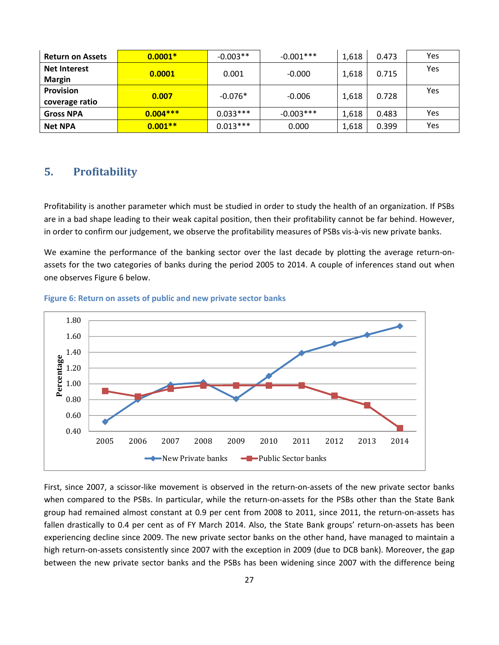| <b>Return on Assets</b>              | $0.0001*$  | $-0.003**$ | $-0.001***$ | 1,618 | 0.473 | Yes |
|--------------------------------------|------------|------------|-------------|-------|-------|-----|
| <b>Net Interest</b><br><b>Margin</b> | 0.0001     | 0.001      | $-0.000$    | 1,618 | 0.715 | Yes |
| <b>Provision</b><br>coverage ratio   | 0.007      | $-0.076*$  | $-0.006$    | 1,618 | 0.728 | Yes |
| <b>Gross NPA</b>                     | $0.004***$ | $0.033***$ | $-0.003***$ | 1,618 | 0.483 | Yes |
| <b>Net NPA</b>                       | $0.001**$  | $0.013***$ | 0.000       | 1,618 | 0.399 | Yes |

# **5. Profitability**

Profitability is another parameter which must be studied in order to study the health of an organization. If PSBs are in a bad shape leading to their weak capital position, then their profitability cannot be far behind. However, in order to confirm our judgement, we observe the profitability measures of PSBs vis-à-vis new private banks.

We examine the performance of the banking sector over the last decade by plotting the average return-onassets for the two categories of banks during the period 2005 to 2014. A couple of inferences stand out when one observes Figure 6 below.

#### **Figure 6: Return on assets of public and new private sector banks**



First, since 2007, a scissor-like movement is observed in the return-on-assets of the new private sector banks when compared to the PSBs. In particular, while the return-on-assets for the PSBs other than the State Bank group had remained almost constant at 0.9 per cent from 2008 to 2011, since 2011, the return-on-assets has fallen drastically to 0.4 per cent as of FY March 2014. Also, the State Bank groups' return-on-assets has been experiencing decline since 2009. The new private sector banks on the other hand, have managed to maintain a high return-on-assets consistently since 2007 with the exception in 2009 (due to DCB bank). Moreover, the gap between the new private sector banks and the PSBs has been widening since 2007 with the difference being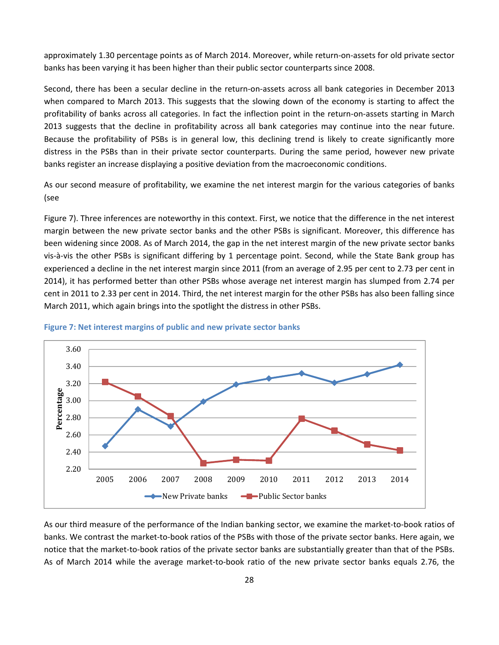approximately 1.30 percentage points as of March 2014. Moreover, while return-on-assets for old private sector banks has been varying it has been higher than their public sector counterparts since 2008.

Second, there has been a secular decline in the return-on-assets across all bank categories in December 2013 when compared to March 2013. This suggests that the slowing down of the economy is starting to affect the profitability of banks across all categories. In fact the inflection point in the return-on-assets starting in March 2013 suggests that the decline in profitability across all bank categories may continue into the near future. Because the profitability of PSBs is in general low, this declining trend is likely to create significantly more distress in the PSBs than in their private sector counterparts. During the same period, however new private banks register an increase displaying a positive deviation from the macroeconomic conditions.

As our second measure of profitability, we examine the net interest margin for the various categories of banks (see

Figure 7). Three inferences are noteworthy in this context. First, we notice that the difference in the net interest margin between the new private sector banks and the other PSBs is significant. Moreover, this difference has been widening since 2008. As of March 2014, the gap in the net interest margin of the new private sector banks vis-à-vis the other PSBs is significant differing by 1 percentage point. Second, while the State Bank group has experienced a decline in the net interest margin since 2011 (from an average of 2.95 per cent to 2.73 per cent in 2014), it has performed better than other PSBs whose average net interest margin has slumped from 2.74 per cent in 2011 to 2.33 per cent in 2014. Third, the net interest margin for the other PSBs has also been falling since March 2011, which again brings into the spotlight the distress in other PSBs.





As our third measure of the performance of the Indian banking sector, we examine the market-to-book ratios of banks. We contrast the market-to-book ratios of the PSBs with those of the private sector banks. Here again, we notice that the market-to-book ratios of the private sector banks are substantially greater than that of the PSBs. As of March 2014 while the average market-to-book ratio of the new private sector banks equals 2.76, the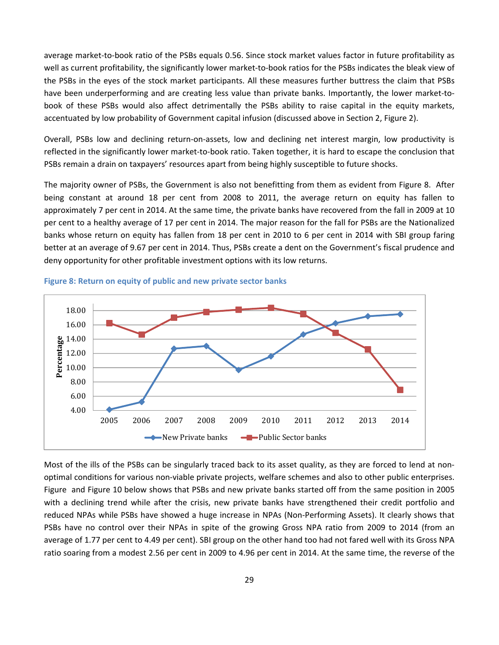average market-to-book ratio of the PSBs equals 0.56. Since stock market values factor in future profitability as well as current profitability, the significantly lower market-to-book ratios for the PSBs indicates the bleak view of the PSBs in the eyes of the stock market participants. All these measures further buttress the claim that PSBs have been underperforming and are creating less value than private banks. Importantly, the lower market-tobook of these PSBs would also affect detrimentally the PSBs ability to raise capital in the equity markets, accentuated by low probability of Government capital infusion (discussed above in Section 2, Figure 2).

Overall, PSBs low and declining return-on-assets, low and declining net interest margin, low productivity is reflected in the significantly lower market-to-book ratio. Taken together, it is hard to escape the conclusion that PSBs remain a drain on taxpayers' resources apart from being highly susceptible to future shocks.

The majority owner of PSBs, the Government is also not benefitting from them as evident from Figure 8. After being constant at around 18 per cent from 2008 to 2011, the average return on equity has fallen to approximately 7 per cent in 2014. At the same time, the private banks have recovered from the fall in 2009 at 10 per cent to a healthy average of 17 per cent in 2014. The major reason for the fall for PSBs are the Nationalized banks whose return on equity has fallen from 18 per cent in 2010 to 6 per cent in 2014 with SBI group faring better at an average of 9.67 per cent in 2014. Thus, PSBs create a dent on the Government's fiscal prudence and deny opportunity for other profitable investment options with its low returns.



**Figure 8: Return on equity of public and new private sector banks** 

Most of the ills of the PSBs can be singularly traced back to its asset quality, as they are forced to lend at nonoptimal conditions for various non-viable private projects, welfare schemes and also to other public enterprises. Figure and Figure 10 below shows that PSBs and new private banks started off from the same position in 2005 with a declining trend while after the crisis, new private banks have strengthened their credit portfolio and reduced NPAs while PSBs have showed a huge increase in NPAs (Non-Performing Assets). It clearly shows that PSBs have no control over their NPAs in spite of the growing Gross NPA ratio from 2009 to 2014 (from an average of 1.77 per cent to 4.49 per cent). SBI group on the other hand too had not fared well with its Gross NPA ratio soaring from a modest 2.56 per cent in 2009 to 4.96 per cent in 2014. At the same time, the reverse of the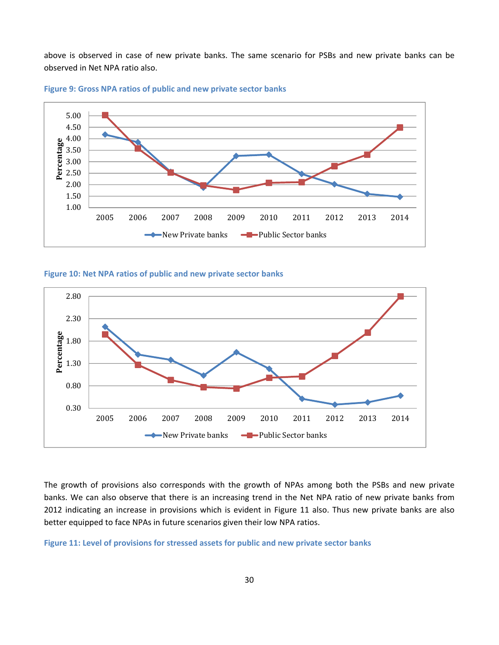above is observed in case of new private banks. The same scenario for PSBs and new private banks can be observed in Net NPA ratio also.





**Figure 10: Net NPA ratios of public and new private sector banks** 



The growth of provisions also corresponds with the growth of NPAs among both the PSBs and new private banks. We can also observe that there is an increasing trend in the Net NPA ratio of new private banks from 2012 indicating an increase in provisions which is evident in Figure 11 also. Thus new private banks are also better equipped to face NPAs in future scenarios given their low NPA ratios.

**Figure 11: Level of provisions for stressed assets for public and new private sector banks**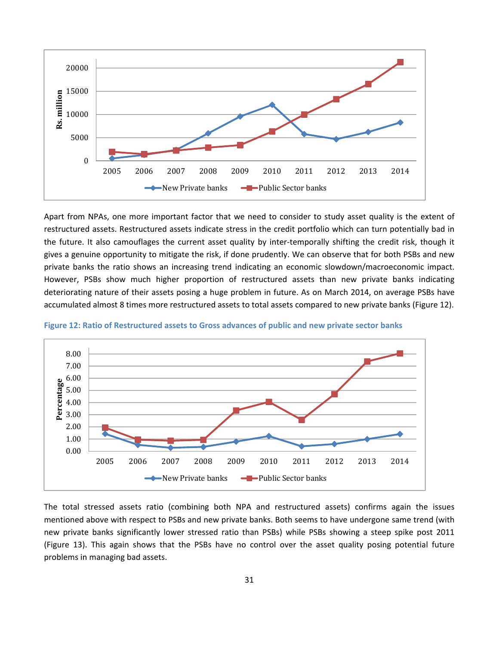

Apart from NPAs, one more important factor that we need to consider to study asset quality is the extent of restructured assets. Restructured assets indicate stress in the credit portfolio which can turn potentially bad in the future. It also camouflages the current asset quality by inter-temporally shifting the credit risk, though it gives a genuine opportunity to mitigate the risk, if done prudently. We can observe that for both PSBs and new private banks the ratio shows an increasing trend indicating an economic slowdown/macroeconomic impact. However, PSBs show much higher proportion of restructured assets than new private banks indicating deteriorating nature of their assets posing a huge problem in future. As on March 2014, on average PSBs have accumulated almost 8 times more restructured assets to total assets compared to new private banks (Figure 12).



**Figure 12: Ratio of Restructured assets to Gross advances of public and new private sector banks** 

The total stressed assets ratio (combining both NPA and restructured assets) confirms again the issues mentioned above with respect to PSBs and new private banks. Both seems to have undergone same trend (with new private banks significantly lower stressed ratio than PSBs) while PSBs showing a steep spike post 2011 (Figure 13). This again shows that the PSBs have no control over the asset quality posing potential future problems in managing bad assets.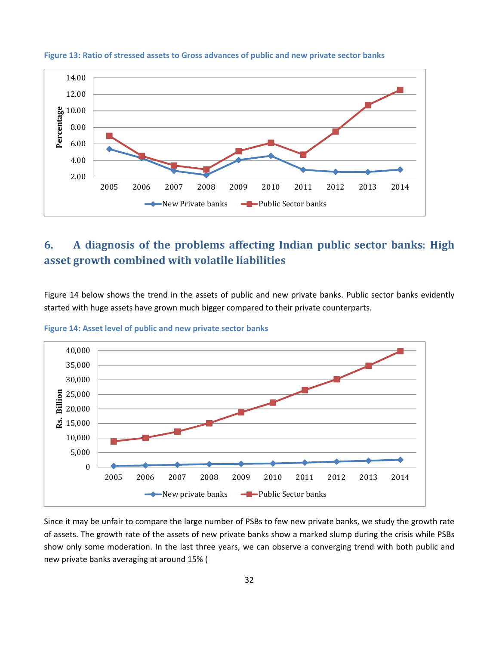

#### **Figure 13: Ratio of stressed assets to Gross advances of public and new private sector banks**

# **6. A diagnosis of the problems affecting Indian public sector banks**: **High asset growth combined with volatile liabilities**

Figure 14 below shows the trend in the assets of public and new private banks. Public sector banks evidently started with huge assets have grown much bigger compared to their private counterparts.



**Figure 14: Asset level of public and new private sector banks** 

Since it may be unfair to compare the large number of PSBs to few new private banks, we study the growth rate of assets. The growth rate of the assets of new private banks show a marked slump during the crisis while PSBs show only some moderation. In the last three years, we can observe a converging trend with both public and new private banks averaging at around 15% (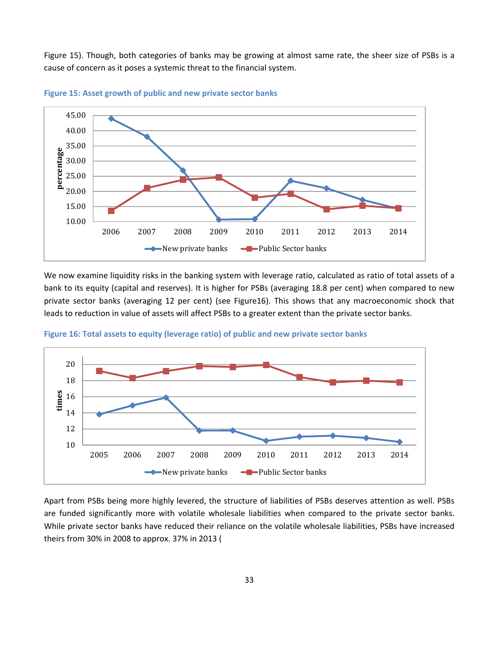Figure 15). Though, both categories of banks may be growing at almost same rate, the sheer size of PSBs is a cause of concern as it poses a systemic threat to the financial system.





We now examine liquidity risks in the banking system with leverage ratio, calculated as ratio of total assets of a bank to its equity (capital and reserves). It is higher for PSBs (averaging 18.8 per cent) when compared to new private sector banks (averaging 12 per cent) (see Figure16). This shows that any macroeconomic shock that leads to reduction in value of assets will affect PSBs to a greater extent than the private sector banks.



**Figure 16: Total assets to equity (leverage ratio) of public and new private sector banks** 

Apart from PSBs being more highly levered, the structure of liabilities of PSBs deserves attention as well. PSBs are funded significantly more with volatile wholesale liabilities when compared to the private sector banks. While private sector banks have reduced their reliance on the volatile wholesale liabilities, PSBs have increased theirs from 30% in 2008 to approx. 37% in 2013 (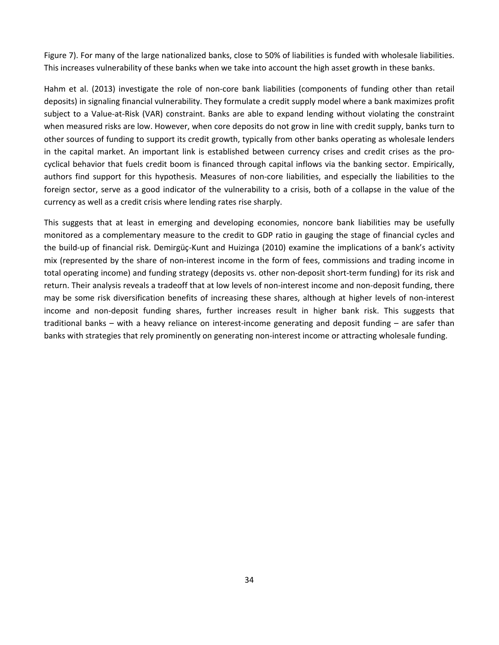Figure 7). For many of the large nationalized banks, close to 50% of liabilities is funded with wholesale liabilities. This increases vulnerability of these banks when we take into account the high asset growth in these banks.

Hahm et al. (2013) investigate the role of non-core bank liabilities (components of funding other than retail deposits) in signaling financial vulnerability. They formulate a credit supply model where a bank maximizes profit subject to a Value-at-Risk (VAR) constraint. Banks are able to expand lending without violating the constraint when measured risks are low. However, when core deposits do not grow in line with credit supply, banks turn to other sources of funding to support its credit growth, typically from other banks operating as wholesale lenders in the capital market. An important link is established between currency crises and credit crises as the procyclical behavior that fuels credit boom is financed through capital inflows via the banking sector. Empirically, authors find support for this hypothesis. Measures of non-core liabilities, and especially the liabilities to the foreign sector, serve as a good indicator of the vulnerability to a crisis, both of a collapse in the value of the currency as well as a credit crisis where lending rates rise sharply.

This suggests that at least in emerging and developing economies, noncore bank liabilities may be usefully monitored as a complementary measure to the credit to GDP ratio in gauging the stage of financial cycles and the build-up of financial risk. Demirgüç-Kunt and Huizinga (2010) examine the implications of a bank's activity mix (represented by the share of non-interest income in the form of fees, commissions and trading income in total operating income) and funding strategy (deposits vs. other non-deposit short-term funding) for its risk and return. Their analysis reveals a tradeoff that at low levels of non-interest income and non-deposit funding, there may be some risk diversification benefits of increasing these shares, although at higher levels of non-interest income and non-deposit funding shares, further increases result in higher bank risk. This suggests that traditional banks – with a heavy reliance on interest-income generating and deposit funding – are safer than banks with strategies that rely prominently on generating non-interest income or attracting wholesale funding.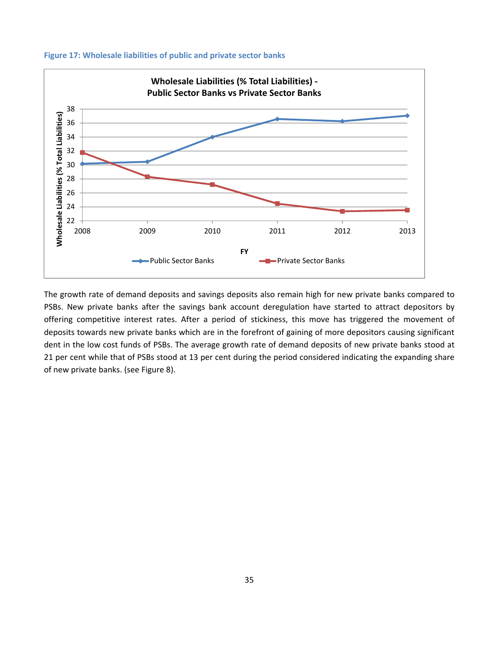



The growth rate of demand deposits and savings deposits also remain high for new private banks compared to PSBs. New private banks after the savings bank account deregulation have started to attract depositors by offering competitive interest rates. After a period of stickiness, this move has triggered the movement of deposits towards new private banks which are in the forefront of gaining of more depositors causing significant dent in the low cost funds of PSBs. The average growth rate of demand deposits of new private banks stood at 21 per cent while that of PSBs stood at 13 per cent during the period considered indicating the expanding share of new private banks. (see Figure 8).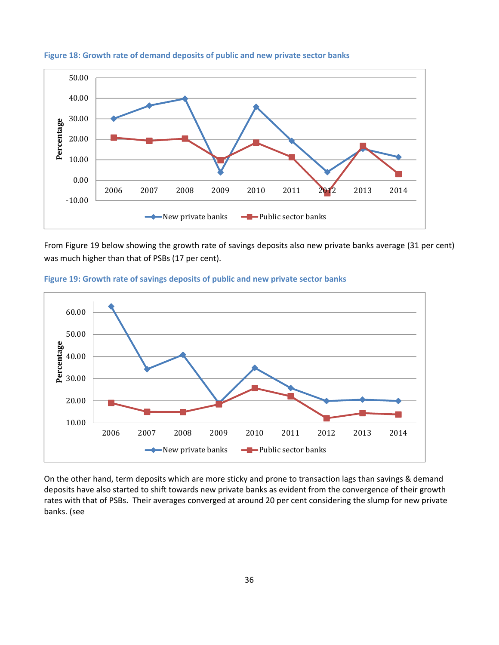

#### **Figure 18: Growth rate of demand deposits of public and new private sector banks**

From Figure 19 below showing the growth rate of savings deposits also new private banks average (31 per cent) was much higher than that of PSBs (17 per cent).





On the other hand, term deposits which are more sticky and prone to transaction lags than savings & demand deposits have also started to shift towards new private banks as evident from the convergence of their growth rates with that of PSBs. Their averages converged at around 20 per cent considering the slump for new private banks. (see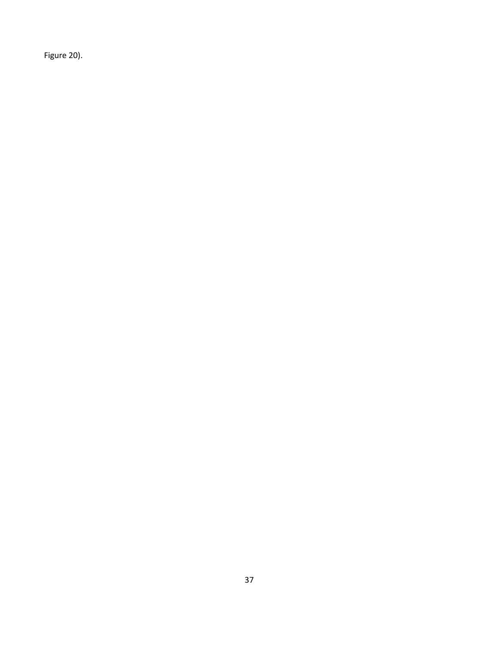Figure 20).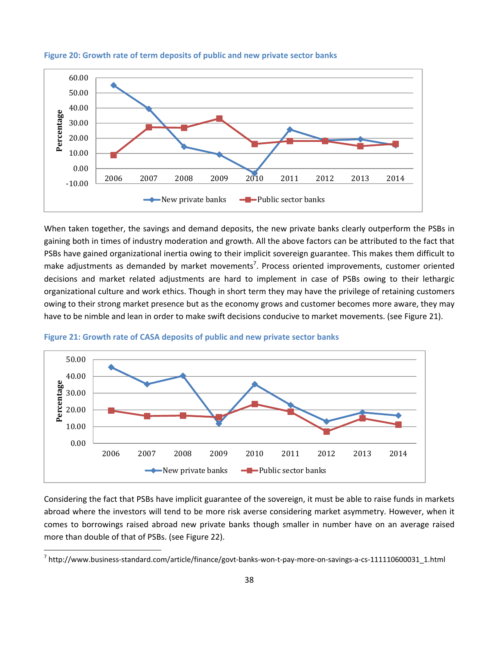

#### **Figure 20: Growth rate of term deposits of public and new private sector banks**

When taken together, the savings and demand deposits, the new private banks clearly outperform the PSBs in gaining both in times of industry moderation and growth. All the above factors can be attributed to the fact that PSBs have gained organizational inertia owing to their implicit sovereign guarantee. This makes them difficult to make adjustments as demanded by market movements<sup>7</sup>. Process oriented improvements, customer oriented decisions and market related adjustments are hard to implement in case of PSBs owing to their lethargic organizational culture and work ethics. Though in short term they may have the privilege of retaining customers owing to their strong market presence but as the economy grows and customer becomes more aware, they may have to be nimble and lean in order to make swift decisions conducive to market movements. (see Figure 21).



**Figure 21: Growth rate of CASA deposits of public and new private sector banks** 

 $\overline{\phantom{a}}$ 

Considering the fact that PSBs have implicit guarantee of the sovereign, it must be able to raise funds in markets abroad where the investors will tend to be more risk averse considering market asymmetry. However, when it comes to borrowings raised abroad new private banks though smaller in number have on an average raised more than double of that of PSBs. (see Figure 22).

<sup>&</sup>lt;sup>7</sup> http://www.business-standard.com/article/finance/govt-banks-won-t-pay-more-on-savings-a-cs-111110600031\_1.html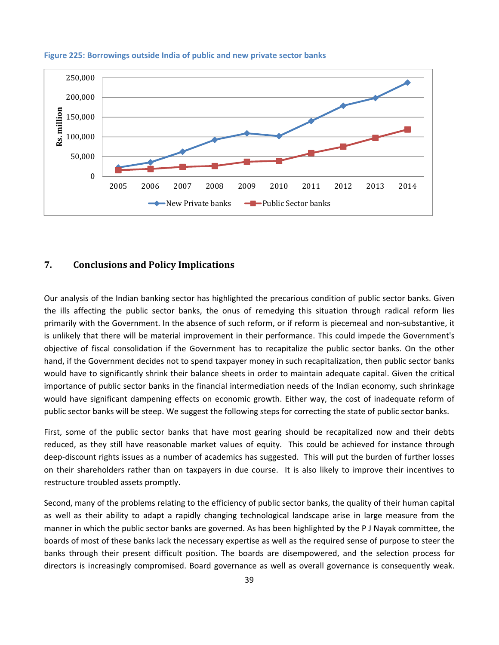

#### **Figure 225: Borrowings outside India of public and new private sector banks**

## **7. Conclusions and Policy Implications**

Our analysis of the Indian banking sector has highlighted the precarious condition of public sector banks. Given the ills affecting the public sector banks, the onus of remedying this situation through radical reform lies primarily with the Government. In the absence of such reform, or if reform is piecemeal and non-substantive, it is unlikely that there will be material improvement in their performance. This could impede the Government's objective of fiscal consolidation if the Government has to recapitalize the public sector banks. On the other hand, if the Government decides not to spend taxpayer money in such recapitalization, then public sector banks would have to significantly shrink their balance sheets in order to maintain adequate capital. Given the critical importance of public sector banks in the financial intermediation needs of the Indian economy, such shrinkage would have significant dampening effects on economic growth. Either way, the cost of inadequate reform of public sector banks will be steep. We suggest the following steps for correcting the state of public sector banks.

First, some of the public sector banks that have most gearing should be recapitalized now and their debts reduced, as they still have reasonable market values of equity. This could be achieved for instance through deep-discount rights issues as a number of academics has suggested. This will put the burden of further losses on their shareholders rather than on taxpayers in due course. It is also likely to improve their incentives to restructure troubled assets promptly.

Second, many of the problems relating to the efficiency of public sector banks, the quality of their human capital as well as their ability to adapt a rapidly changing technological landscape arise in large measure from the manner in which the public sector banks are governed. As has been highlighted by the P J Nayak committee, the boards of most of these banks lack the necessary expertise as well as the required sense of purpose to steer the banks through their present difficult position. The boards are disempowered, and the selection process for directors is increasingly compromised. Board governance as well as overall governance is consequently weak.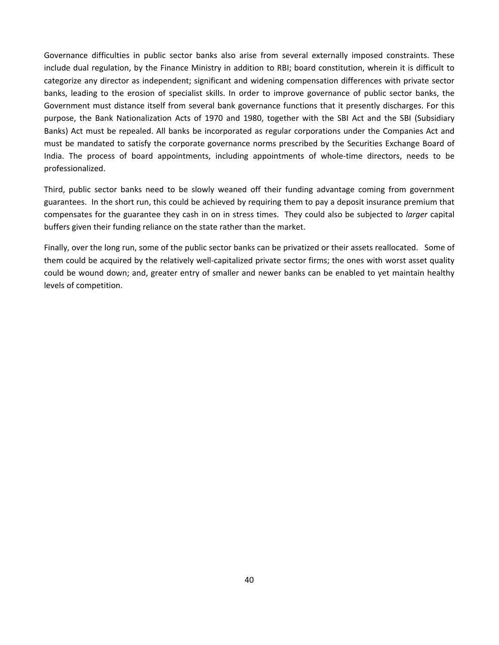Governance difficulties in public sector banks also arise from several externally imposed constraints. These include dual regulation, by the Finance Ministry in addition to RBI; board constitution, wherein it is difficult to categorize any director as independent; significant and widening compensation differences with private sector banks, leading to the erosion of specialist skills. In order to improve governance of public sector banks, the Government must distance itself from several bank governance functions that it presently discharges. For this purpose, the Bank Nationalization Acts of 1970 and 1980, together with the SBI Act and the SBI (Subsidiary Banks) Act must be repealed. All banks be incorporated as regular corporations under the Companies Act and must be mandated to satisfy the corporate governance norms prescribed by the Securities Exchange Board of India. The process of board appointments, including appointments of whole-time directors, needs to be professionalized.

Third, public sector banks need to be slowly weaned off their funding advantage coming from government guarantees. In the short run, this could be achieved by requiring them to pay a deposit insurance premium that compensates for the guarantee they cash in on in stress times. They could also be subjected to *larger* capital buffers given their funding reliance on the state rather than the market.

Finally, over the long run, some of the public sector banks can be privatized or their assets reallocated. Some of them could be acquired by the relatively well-capitalized private sector firms; the ones with worst asset quality could be wound down; and, greater entry of smaller and newer banks can be enabled to yet maintain healthy levels of competition.